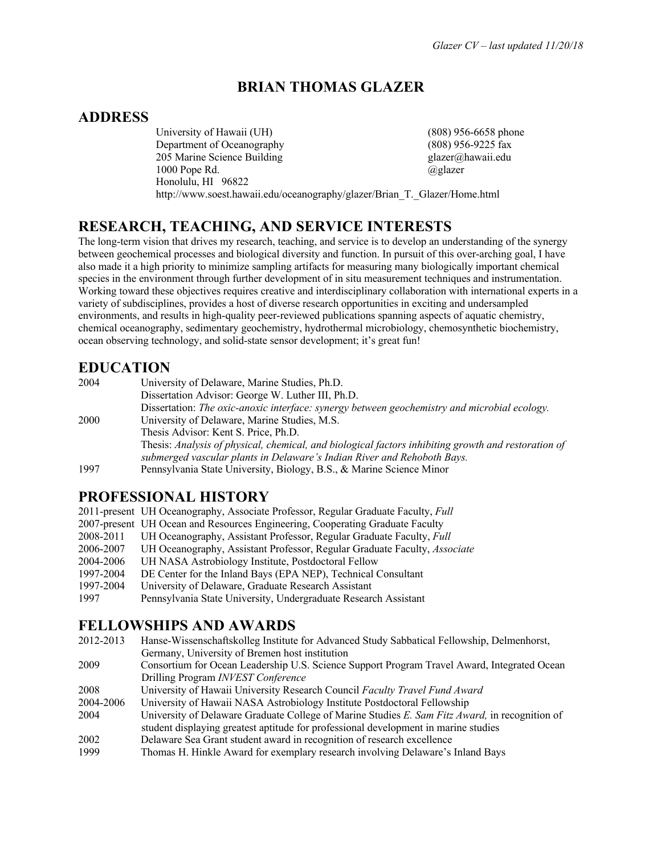# **BRIAN THOMAS GLAZER**

# **ADDRESS**

University of Hawaii (UH) (808) 956-6658 phone Department of Oceanography (808) 956-9225 fax 205 Marine Science Building glazer@hawaii.edu 1000 Pope Rd.  $\qquad \qquad @glazer$ Honolulu, HI 96822 http://www.soest.hawaii.edu/oceanography/glazer/Brian\_T.\_Glazer/Home.html

# **RESEARCH, TEACHING, AND SERVICE INTERESTS**

The long-term vision that drives my research, teaching, and service is to develop an understanding of the synergy between geochemical processes and biological diversity and function. In pursuit of this over-arching goal, I have also made it a high priority to minimize sampling artifacts for measuring many biologically important chemical species in the environment through further development of in situ measurement techniques and instrumentation. Working toward these objectives requires creative and interdisciplinary collaboration with international experts in a variety of subdisciplines, provides a host of diverse research opportunities in exciting and undersampled environments, and results in high-quality peer-reviewed publications spanning aspects of aquatic chemistry, chemical oceanography, sedimentary geochemistry, hydrothermal microbiology, chemosynthetic biochemistry, ocean observing technology, and solid-state sensor development; it's great fun!

# **EDUCATION**

| 2004 | University of Delaware, Marine Studies, Ph.D.                                                       |
|------|-----------------------------------------------------------------------------------------------------|
|      | Dissertation Advisor: George W. Luther III, Ph.D.                                                   |
|      | Dissertation: The oxic-anoxic interface: synergy between geochemistry and microbial ecology.        |
| 2000 | University of Delaware, Marine Studies, M.S.                                                        |
|      | Thesis Advisor: Kent S. Price, Ph.D.                                                                |
|      | Thesis: Analysis of physical, chemical, and biological factors inhibiting growth and restoration of |
|      | submerged vascular plants in Delaware's Indian River and Rehoboth Bays.                             |
| 1997 | Pennsylvania State University, Biology, B.S., & Marine Science Minor                                |

# **PROFESSIONAL HISTORY**

|           | 2011-present UH Oceanography, Associate Professor, Regular Graduate Faculty, Full |
|-----------|-----------------------------------------------------------------------------------|
|           | 2007-present UH Ocean and Resources Engineering, Cooperating Graduate Faculty     |
| 2008-2011 | UH Oceanography, Assistant Professor, Regular Graduate Faculty, Full              |
| 2006-2007 | UH Oceanography, Assistant Professor, Regular Graduate Faculty, Associate         |
| 2004-2006 | UH NASA Astrobiology Institute, Postdoctoral Fellow                               |
| 1997-2004 | DE Center for the Inland Bays (EPA NEP), Technical Consultant                     |
| 1997-2004 | University of Delaware, Graduate Research Assistant                               |
| 1997      | Pennsylvania State University, Undergraduate Research Assistant                   |
|           |                                                                                   |

## **FELLOWSHIPS AND AWARDS**

| 2012-2013 | Hanse-Wissenschaftskolleg Institute for Advanced Study Sabbatical Fellowship, Delmenhorst,     |
|-----------|------------------------------------------------------------------------------------------------|
|           | Germany, University of Bremen host institution                                                 |
| 2009      | Consortium for Ocean Leadership U.S. Science Support Program Travel Award, Integrated Ocean    |
|           | Drilling Program INVEST Conference                                                             |
| 2008      | University of Hawaii University Research Council Faculty Travel Fund Award                     |
| 2004-2006 | University of Hawaii NASA Astrobiology Institute Postdoctoral Fellowship                       |
| 2004      | University of Delaware Graduate College of Marine Studies E. Sam Fitz Award, in recognition of |
|           | student displaying greatest aptitude for professional development in marine studies            |
| 2002      | Delaware Sea Grant student award in recognition of research excellence                         |
| 1999      | Thomas H. Hinkle Award for exemplary research involving Delaware's Inland Bays                 |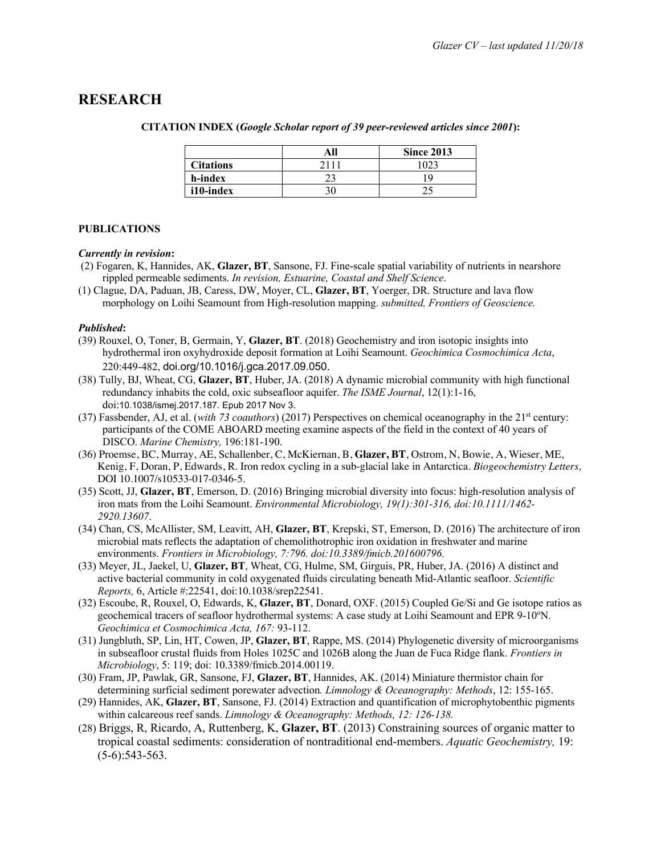## **RESEARCH**

|                  | All | <b>Since 2013</b> |
|------------------|-----|-------------------|
| <b>Citations</b> |     |                   |
| h-index          |     | 1 C               |
| i10-index        |     |                   |

#### **CITATION INDEX (***Google Scholar report of 39 peer-reviewed articles since 2001***):**

#### **PUBLICATIONS**

#### *Currently in revision***:**

- (2) Fogaren, K, Hannides, AK, **Glazer, BT**, Sansone, FJ. Fine-scale spatial variability of nutrients in nearshore rippled permeable sediments. *In revision, Estuarine, Coastal and Shelf Science*.
- (1) Clague, DA, Paduan, JB, Caress, DW, Moyer, CL, **Glazer, BT**, Yoerger, DR. Structure and lava flow morphology on Loihi Seamount from High-resolution mapping. *submitted, Frontiers of Geoscience.*

#### *Published***:**

- (39) Rouxel, O, Toner, B, Germain, Y, **Glazer, BT**. (2018) Geochemistry and iron isotopic insights into hydrothermal iron oxyhydroxide deposit formation at Loihi Seamount. *Geochimica Cosmochimica Acta*, 220:449-482, doi.org/10.1016/j.gca.2017.09.050.
- (38) Tully, BJ, Wheat, CG, **Glazer, BT**, Huber, JA. (2018) A dynamic microbial community with high functional redundancy inhabits the cold, oxic subseafloor aquifer. *The ISME Journal*, 12(1):1-16, doi:10.1038/ismej.2017.187. Epub 2017 Nov 3.
- (37) Fassbender, AJ, et al. (*with 73 coauthors*) (2017) Perspectives on chemical oceanography in the 21st century: participants of the COME ABOARD meeting examine aspects of the field in the context of 40 years of DISCO. *Marine Chemistry,* 196:181-190.
- (36) Proemse, BC, Murray, AE, Schallenber, C, McKiernan, B, **Glazer, BT**, Ostrom, N, Bowie, A, Wieser, ME, Kenig, F, Doran, P, Edwards, R. Iron redox cycling in a sub-glacial lake in Antarctica. *Biogeochemistry Letters,*  DOI 10.1007/s10533-017-0346-5.
- (35) Scott, JJ, **Glazer, BT**, Emerson, D. (2016) Bringing microbial diversity into focus: high-resolution analysis of iron mats from the Loihi Seamount. *Environmental Microbiology, 19(1):301-316, doi:10.1111/1462- 2920.13607*.
- (34) Chan, CS, McAllister, SM, Leavitt, AH, **Glazer, BT**, Krepski, ST, Emerson, D. (2016) The architecture of iron microbial mats reflects the adaptation of chemolithotrophic iron oxidation in freshwater and marine environments. *Frontiers in Microbiology, 7:796. doi:10.3389/fmicb.201600796*.
- (33) Meyer, JL, Jaekel, U, **Glazer, BT**, Wheat, CG, Hulme, SM, Girguis, PR, Huber, JA. (2016) A distinct and active bacterial community in cold oxygenated fluids circulating beneath Mid-Atlantic seafloor. *Scientific Reports,* 6, Article #:22541, doi:10.1038/srep22541.
- (32) Escoube, R, Rouxel, O, Edwards, K, **Glazer, BT**, Donard, OXF. (2015) Coupled Ge/Si and Ge isotope ratios as geochemical tracers of seafloor hydrothermal systems: A case study at Loihi Seamount and EPR 9-10°N. *Geochimica et Cosmochimica Acta, 167:* 93-112.
- (31) Jungbluth, SP, Lin, HT, Cowen, JP, **Glazer, BT**, Rappe, MS. (2014) Phylogenetic diversity of microorganisms in subseafloor crustal fluids from Holes 1025C and 1026B along the Juan de Fuca Ridge flank. *Frontiers in Microbiology*, 5: 119; doi: 10.3389/fmicb.2014.00119.
- (30) Fram, JP, Pawlak, GR, Sansone, FJ, **Glazer, BT**, Hannides, AK. (2014) Miniature thermistor chain for determining surficial sediment porewater advection*. Limnology & Oceanography: Methods*, 12: 155-165.
- (29) Hannides, AK, **Glazer, BT**, Sansone, FJ. (2014) Extraction and quantification of microphytobenthic pigments within calcareous reef sands. *Limnology & Oceanography: Methods, 12: 126-138.*
- (28) Briggs, R, Ricardo, A, Ruttenberg, K, **Glazer, BT**. (2013) Constraining sources of organic matter to tropical coastal sediments: consideration of nontraditional end-members. *Aquatic Geochemistry,* 19: (5-6):543-563.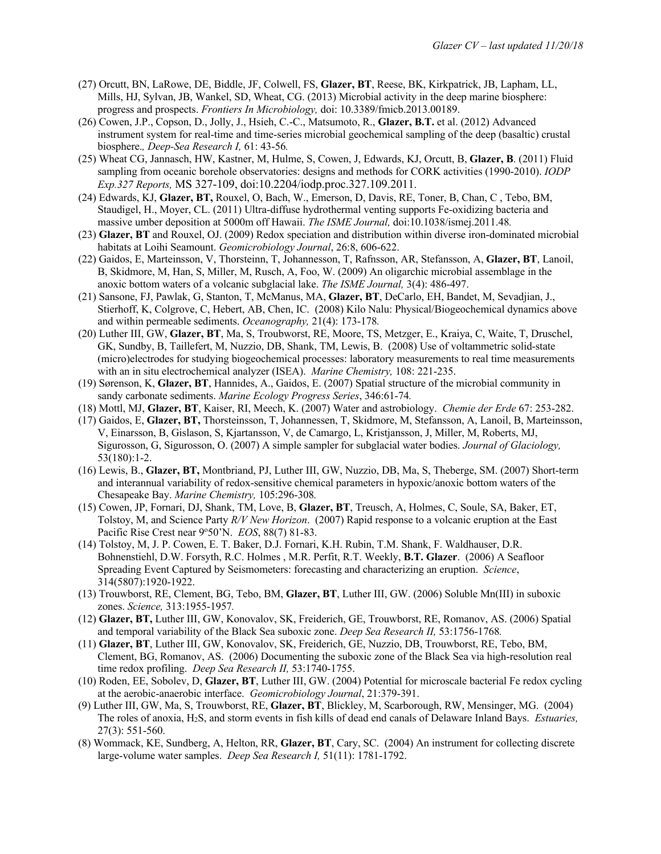- (27) Orcutt, BN, LaRowe, DE, Biddle, JF, Colwell, FS, **Glazer, BT**, Reese, BK, Kirkpatrick, JB, Lapham, LL, Mills, HJ, Sylvan, JB, Wankel, SD, Wheat, CG. (2013) Microbial activity in the deep marine biosphere: progress and prospects. *Frontiers In Microbiology,* doi: 10.3389/fmicb.2013.00189.
- (26) Cowen, J.P., Copson, D., Jolly, J., Hsieh, C.-C., Matsumoto, R., **Glazer, B.T.** et al. (2012) Advanced instrument system for real-time and time-series microbial geochemical sampling of the deep (basaltic) crustal biosphere.*, Deep-Sea Research I,* 61: 43-56*.*
- (25) Wheat CG, Jannasch, HW, Kastner, M, Hulme, S, Cowen, J, Edwards, KJ, Orcutt, B, **Glazer, B**. (2011) Fluid sampling from oceanic borehole observatories: designs and methods for CORK activities (1990-2010). *IODP Exp.327 Reports,* MS 327-109, doi:10.2204/iodp.proc.327.109.2011.
- (24) Edwards, KJ, **Glazer, BT,** Rouxel, O, Bach, W., Emerson, D, Davis, RE, Toner, B, Chan, C , Tebo, BM, Staudigel, H., Moyer, CL. (2011) Ultra-diffuse hydrothermal venting supports Fe-oxidizing bacteria and massive umber deposition at 5000m off Hawaii. *The ISME Journal,* doi:10.1038/ismej.2011.48*.*
- (23) **Glazer, BT** and Rouxel, OJ. (2009) Redox speciation and distribution within diverse iron-dominated microbial habitats at Loihi Seamount. *Geomicrobiology Journal*, 26:8, 606-622.
- (22) Gaidos, E, Marteinsson, V, Thorsteinn, T, Johannesson, T, Rafnsson, AR, Stefansson, A, **Glazer, BT**, Lanoil, B, Skidmore, M, Han, S, Miller, M, Rusch, A, Foo, W. (2009) An oligarchic microbial assemblage in the anoxic bottom waters of a volcanic subglacial lake. *The ISME Journal,* 3(4): 486-497.
- (21) Sansone, FJ, Pawlak, G, Stanton, T, McManus, MA, **Glazer, BT**, DeCarlo, EH, Bandet, M, Sevadjian, J., Stierhoff, K, Colgrove, C, Hebert, AB, Chen, IC. (2008) Kilo Nalu: Physical/Biogeochemical dynamics above and within permeable sediments. *Oceanography,* 21(4): 173-178*.*
- (20) Luther III, GW, **Glazer, BT**, Ma, S, Troubworst, RE, Moore, TS, Metzger, E., Kraiya, C, Waite, T, Druschel, GK, Sundby, B, Taillefert, M, Nuzzio, DB, Shank, TM, Lewis, B. (2008) Use of voltammetric solid-state (micro)electrodes for studying biogeochemical processes: laboratory measurements to real time measurements with an in situ electrochemical analyzer (ISEA). *Marine Chemistry,* 108: 221-235.
- (19) Sørenson, K, **Glazer, BT**, Hannides, A., Gaidos, E. (2007) Spatial structure of the microbial community in sandy carbonate sediments. *Marine Ecology Progress Series*, 346:61-74*.*
- (18) Mottl, MJ, **Glazer, BT**, Kaiser, RI, Meech, K. (2007) Water and astrobiology. *Chemie der Erde* 67: 253-282.
- (17) Gaidos, E, **Glazer, BT,** Thorsteinsson, T, Johannessen, T, Skidmore, M, Stefansson, A, Lanoil, B, Marteinsson, V, Einarsson, B, Gislason, S, Kjartansson, V, de Camargo, L, Kristjansson, J, Miller, M, Roberts, MJ, Sigurosson, G, Sigurosson, O. (2007) A simple sampler for subglacial water bodies. *Journal of Glaciology,*  53(180):1-2.
- (16) Lewis, B., **Glazer, BT,** Montbriand, PJ, Luther III, GW, Nuzzio, DB, Ma, S, Theberge, SM. (2007) Short-term and interannual variability of redox-sensitive chemical parameters in hypoxic/anoxic bottom waters of the Chesapeake Bay. *Marine Chemistry,* 105:296-308*.*
- (15) Cowen, JP, Fornari, DJ, Shank, TM, Love, B, **Glazer, BT**, Treusch, A, Holmes, C, Soule, SA, Baker, ET, Tolstoy, M, and Science Party *R/V New Horizon*. (2007) Rapid response to a volcanic eruption at the East Pacific Rise Crest near 9°50'N. *EOS*, 88(7) 81-83.
- (14) Tolstoy, M, J. P. Cowen, E. T. Baker, D.J. Fornari, K.H. Rubin, T.M. Shank, F. Waldhauser, D.R. Bohnenstiehl, D.W. Forsyth, R.C. Holmes , M.R. Perfit, R.T. Weekly, **B.T. Glazer**. (2006) A Seafloor Spreading Event Captured by Seismometers: forecasting and characterizing an eruption. *Science*, 314(5807):1920-1922.
- (13) Trouwborst, RE, Clement, BG, Tebo, BM, **Glazer, BT**, Luther III, GW. (2006) Soluble Mn(III) in suboxic zones. *Science,* 313:1955-1957*.*
- (12) **Glazer, BT,** Luther III, GW, Konovalov, SK, Freiderich, GE, Trouwborst, RE, Romanov, AS. (2006) Spatial and temporal variability of the Black Sea suboxic zone. *Deep Sea Research II,* 53:1756-1768*.*
- (11) **Glazer, BT**, Luther III, GW, Konovalov, SK, Freiderich, GE, Nuzzio, DB, Trouwborst, RE, Tebo, BM, Clement, BG, Romanov, AS. (2006) Documenting the suboxic zone of the Black Sea via high-resolution real time redox profiling. *Deep Sea Research II,* 53:1740-1755.
- (10) Roden, EE, Sobolev, D, **Glazer, BT**, Luther III, GW. (2004) Potential for microscale bacterial Fe redox cycling at the aerobic-anaerobic interface. *Geomicrobiology Journal*, 21:379-391.
- (9) Luther III, GW, Ma, S, Trouwborst, RE, **Glazer, BT**, Blickley, M, Scarborough, RW, Mensinger, MG. (2004) The roles of anoxia, H2S, and storm events in fish kills of dead end canals of Delaware Inland Bays. *Estuaries,*  27(3): 551-560.
- (8) Wommack, KE, Sundberg, A, Helton, RR, **Glazer, BT**, Cary, SC. (2004) An instrument for collecting discrete large-volume water samples. *Deep Sea Research I,* 51(11): 1781-1792.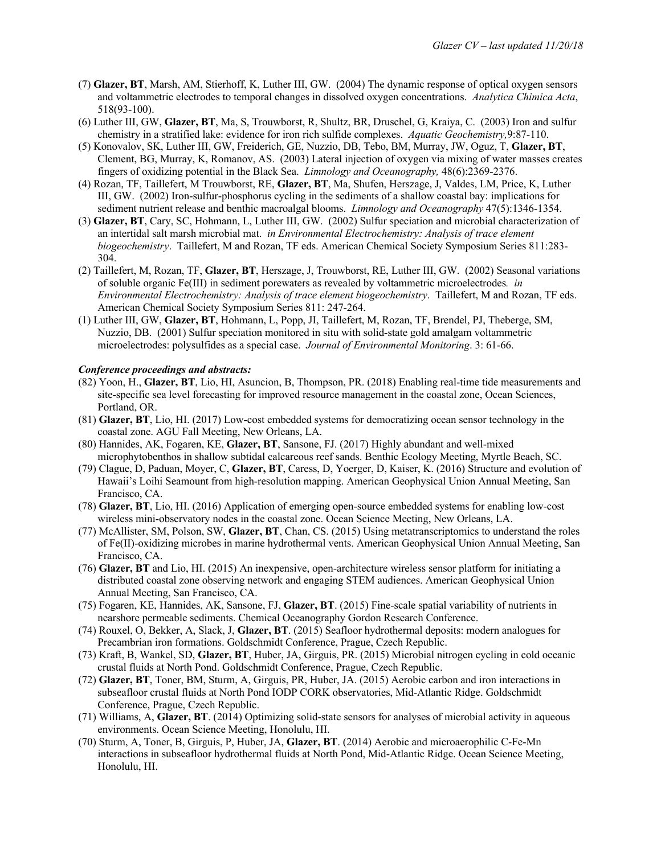- (7) **Glazer, BT**, Marsh, AM, Stierhoff, K, Luther III, GW. (2004) The dynamic response of optical oxygen sensors and voltammetric electrodes to temporal changes in dissolved oxygen concentrations. *Analytica Chimica Acta*, 518(93-100).
- (6) Luther III, GW, **Glazer, BT**, Ma, S, Trouwborst, R, Shultz, BR, Druschel, G, Kraiya, C. (2003) Iron and sulfur chemistry in a stratified lake: evidence for iron rich sulfide complexes. *Aquatic Geochemistry,*9:87-110.
- (5) Konovalov, SK, Luther III, GW, Freiderich, GE, Nuzzio, DB, Tebo, BM, Murray, JW, Oguz, T, **Glazer, BT**, Clement, BG, Murray, K, Romanov, AS. (2003) Lateral injection of oxygen via mixing of water masses creates fingers of oxidizing potential in the Black Sea. *Limnology and Oceanography,* 48(6):2369-2376.
- (4) Rozan, TF, Taillefert, M Trouwborst, RE, **Glazer, BT**, Ma, Shufen, Herszage, J, Valdes, LM, Price, K, Luther III, GW. (2002) Iron-sulfur-phosphorus cycling in the sediments of a shallow coastal bay: implications for sediment nutrient release and benthic macroalgal blooms. *Limnology and Oceanography* 47(5):1346-1354.
- (3) **Glazer, BT**, Cary, SC, Hohmann, L, Luther III, GW. (2002) Sulfur speciation and microbial characterization of an intertidal salt marsh microbial mat. *in Environmental Electrochemistry: Analysis of trace element biogeochemistry*. Taillefert, M and Rozan, TF eds. American Chemical Society Symposium Series 811:283- 304.
- (2) Taillefert, M, Rozan, TF, **Glazer, BT**, Herszage, J, Trouwborst, RE, Luther III, GW. (2002) Seasonal variations of soluble organic Fe(III) in sediment porewaters as revealed by voltammetric microelectrodes*. in Environmental Electrochemistry: Analysis of trace element biogeochemistry*. Taillefert, M and Rozan, TF eds. American Chemical Society Symposium Series 811: 247-264.
- (1) Luther III, GW, **Glazer, BT**, Hohmann, L, Popp, JI, Taillefert, M, Rozan, TF, Brendel, PJ, Theberge, SM, Nuzzio, DB. (2001) Sulfur speciation monitored in situ with solid-state gold amalgam voltammetric microelectrodes: polysulfides as a special case. *Journal of Environmental Monitoring*. 3: 61-66.

#### *Conference proceedings and abstracts:*

- (82) Yoon, H., **Glazer, BT**, Lio, HI, Asuncion, B, Thompson, PR. (2018) Enabling real-time tide measurements and site-specific sea level forecasting for improved resource management in the coastal zone, Ocean Sciences, Portland, OR.
- (81) **Glazer, BT**, Lio, HI. (2017) Low-cost embedded systems for democratizing ocean sensor technology in the coastal zone. AGU Fall Meeting, New Orleans, LA.
- (80) Hannides, AK, Fogaren, KE, **Glazer, BT**, Sansone, FJ. (2017) Highly abundant and well-mixed microphytobenthos in shallow subtidal calcareous reef sands. Benthic Ecology Meeting, Myrtle Beach, SC.
- (79) Clague, D, Paduan, Moyer, C, **Glazer, BT**, Caress, D, Yoerger, D, Kaiser, K. (2016) Structure and evolution of Hawaii's Loihi Seamount from high-resolution mapping. American Geophysical Union Annual Meeting, San Francisco, CA.
- (78) **Glazer, BT**, Lio, HI. (2016) Application of emerging open-source embedded systems for enabling low-cost wireless mini-observatory nodes in the coastal zone. Ocean Science Meeting, New Orleans, LA.
- (77) McAllister, SM, Polson, SW, **Glazer, BT**, Chan, CS. (2015) Using metatranscriptomics to understand the roles of Fe(II)-oxidizing microbes in marine hydrothermal vents. American Geophysical Union Annual Meeting, San Francisco, CA.
- (76) **Glazer, BT** and Lio, HI. (2015) An inexpensive, open-architecture wireless sensor platform for initiating a distributed coastal zone observing network and engaging STEM audiences. American Geophysical Union Annual Meeting, San Francisco, CA.
- (75) Fogaren, KE, Hannides, AK, Sansone, FJ, **Glazer, BT**. (2015) Fine-scale spatial variability of nutrients in nearshore permeable sediments. Chemical Oceanography Gordon Research Conference.
- (74) Rouxel, O, Bekker, A, Slack, J, **Glazer, BT**. (2015) Seafloor hydrothermal deposits: modern analogues for Precambrian iron formations. Goldschmidt Conference, Prague, Czech Republic.
- (73) Kraft, B, Wankel, SD, **Glazer, BT**, Huber, JA, Girguis, PR. (2015) Microbial nitrogen cycling in cold oceanic crustal fluids at North Pond. Goldschmidt Conference, Prague, Czech Republic.
- (72) **Glazer, BT**, Toner, BM, Sturm, A, Girguis, PR, Huber, JA. (2015) Aerobic carbon and iron interactions in subseafloor crustal fluids at North Pond IODP CORK observatories, Mid-Atlantic Ridge. Goldschmidt Conference, Prague, Czech Republic.
- (71) Williams, A, **Glazer, BT**. (2014) Optimizing solid-state sensors for analyses of microbial activity in aqueous environments. Ocean Science Meeting, Honolulu, HI.
- (70) Sturm, A, Toner, B, Girguis, P, Huber, JA, **Glazer, BT**. (2014) Aerobic and microaerophilic C-Fe-Mn interactions in subseafloor hydrothermal fluids at North Pond, Mid-Atlantic Ridge. Ocean Science Meeting, Honolulu, HI.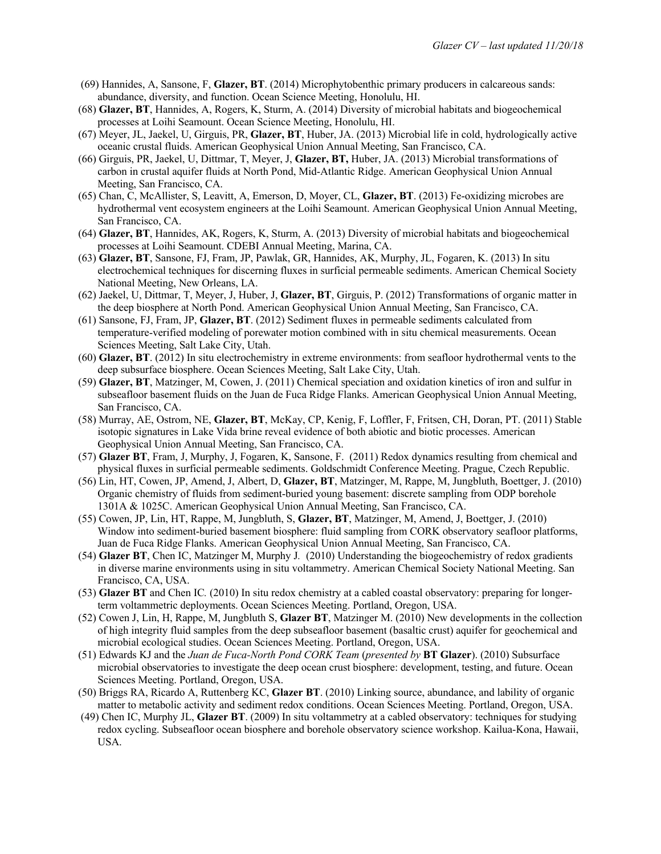- (69) Hannides, A, Sansone, F, **Glazer, BT**. (2014) Microphytobenthic primary producers in calcareous sands: abundance, diversity, and function. Ocean Science Meeting, Honolulu, HI.
- (68) **Glazer, BT**, Hannides, A, Rogers, K, Sturm, A. (2014) Diversity of microbial habitats and biogeochemical processes at Loihi Seamount. Ocean Science Meeting, Honolulu, HI.
- (67) Meyer, JL, Jaekel, U, Girguis, PR, **Glazer, BT**, Huber, JA. (2013) Microbial life in cold, hydrologically active oceanic crustal fluids. American Geophysical Union Annual Meeting, San Francisco, CA.
- (66) Girguis, PR, Jaekel, U, Dittmar, T, Meyer, J, **Glazer, BT,** Huber, JA. (2013) Microbial transformations of carbon in crustal aquifer fluids at North Pond, Mid-Atlantic Ridge. American Geophysical Union Annual Meeting, San Francisco, CA.
- (65) Chan, C, McAllister, S, Leavitt, A, Emerson, D, Moyer, CL, **Glazer, BT**. (2013) Fe-oxidizing microbes are hydrothermal vent ecosystem engineers at the Loihi Seamount. American Geophysical Union Annual Meeting, San Francisco, CA.
- (64) **Glazer, BT**, Hannides, AK, Rogers, K, Sturm, A. (2013) Diversity of microbial habitats and biogeochemical processes at Loihi Seamount. CDEBI Annual Meeting, Marina, CA.
- (63) **Glazer, BT**, Sansone, FJ, Fram, JP, Pawlak, GR, Hannides, AK, Murphy, JL, Fogaren, K. (2013) In situ electrochemical techniques for discerning fluxes in surficial permeable sediments. American Chemical Society National Meeting, New Orleans, LA.
- (62) Jaekel, U, Dittmar, T, Meyer, J, Huber, J, **Glazer, BT**, Girguis, P. (2012) Transformations of organic matter in the deep biosphere at North Pond. American Geophysical Union Annual Meeting, San Francisco, CA.
- (61) Sansone, FJ, Fram, JP, **Glazer, BT**. (2012) Sediment fluxes in permeable sediments calculated from temperature-verified modeling of porewater motion combined with in situ chemical measurements. Ocean Sciences Meeting, Salt Lake City, Utah.
- (60) **Glazer, BT**. (2012) In situ electrochemistry in extreme environments: from seafloor hydrothermal vents to the deep subsurface biosphere. Ocean Sciences Meeting, Salt Lake City, Utah.
- (59) **Glazer, BT**, Matzinger, M, Cowen, J. (2011) Chemical speciation and oxidation kinetics of iron and sulfur in subseafloor basement fluids on the Juan de Fuca Ridge Flanks. American Geophysical Union Annual Meeting, San Francisco, CA.
- (58) Murray, AE, Ostrom, NE, **Glazer, BT**, McKay, CP, Kenig, F, Loffler, F, Fritsen, CH, Doran, PT. (2011) Stable isotopic signatures in Lake Vida brine reveal evidence of both abiotic and biotic processes. American Geophysical Union Annual Meeting, San Francisco, CA.
- (57) **Glazer BT**, Fram, J, Murphy, J, Fogaren, K, Sansone, F. (2011) Redox dynamics resulting from chemical and physical fluxes in surficial permeable sediments. Goldschmidt Conference Meeting. Prague, Czech Republic.
- (56) Lin, HT, Cowen, JP, Amend, J, Albert, D, **Glazer, BT**, Matzinger, M, Rappe, M, Jungbluth, Boettger, J. (2010) Organic chemistry of fluids from sediment-buried young basement: discrete sampling from ODP borehole 1301A & 1025C. American Geophysical Union Annual Meeting, San Francisco, CA.
- (55) Cowen, JP, Lin, HT, Rappe, M, Jungbluth, S, **Glazer, BT**, Matzinger, M, Amend, J, Boettger, J. (2010) Window into sediment-buried basement biosphere: fluid sampling from CORK observatory seafloor platforms, Juan de Fuca Ridge Flanks. American Geophysical Union Annual Meeting, San Francisco, CA.
- (54) **Glazer BT**, Chen IC, Matzinger M, Murphy J*.* (2010) Understanding the biogeochemistry of redox gradients in diverse marine environments using in situ voltammetry. American Chemical Society National Meeting. San Francisco, CA, USA.
- (53) **Glazer BT** and Chen IC*.* (2010) In situ redox chemistry at a cabled coastal observatory: preparing for longerterm voltammetric deployments. Ocean Sciences Meeting. Portland, Oregon, USA.
- (52) Cowen J, Lin, H, Rappe, M, Jungbluth S, **Glazer BT**, Matzinger M. (2010) New developments in the collection of high integrity fluid samples from the deep subseafloor basement (basaltic crust) aquifer for geochemical and microbial ecological studies. Ocean Sciences Meeting. Portland, Oregon, USA.
- (51) Edwards KJ and the *Juan de Fuca-North Pond CORK Team* (*presented by* **BT Glazer**). (2010) Subsurface microbial observatories to investigate the deep ocean crust biosphere: development, testing, and future. Ocean Sciences Meeting. Portland, Oregon, USA.
- (50) Briggs RA, Ricardo A, Ruttenberg KC, **Glazer BT**. (2010) Linking source, abundance, and lability of organic matter to metabolic activity and sediment redox conditions. Ocean Sciences Meeting. Portland, Oregon, USA.
- (49) Chen IC, Murphy JL, **Glazer BT**. (2009) In situ voltammetry at a cabled observatory: techniques for studying redox cycling. Subseafloor ocean biosphere and borehole observatory science workshop. Kailua-Kona, Hawaii, USA.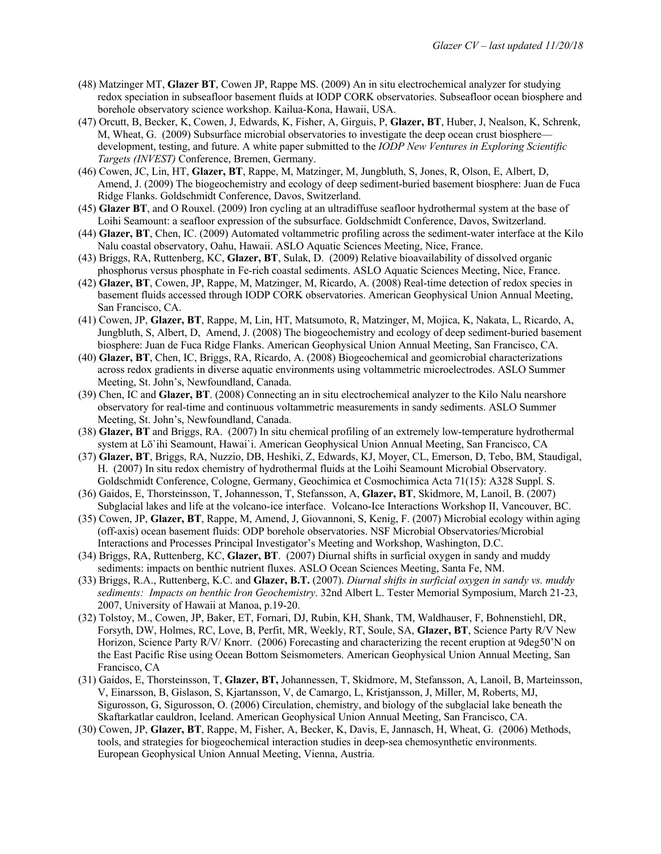- (48) Matzinger MT, **Glazer BT**, Cowen JP, Rappe MS. (2009) An in situ electrochemical analyzer for studying redox speciation in subseafloor basement fluids at IODP CORK observatories. Subseafloor ocean biosphere and borehole observatory science workshop. Kailua-Kona, Hawaii, USA.
- (47) Orcutt, B, Becker, K, Cowen, J, Edwards, K, Fisher, A, Girguis, P, **Glazer, BT**, Huber, J, Nealson, K, Schrenk, M, Wheat, G. (2009) Subsurface microbial observatories to investigate the deep ocean crust biosphere development, testing, and future. A white paper submitted to the *IODP New Ventures in Exploring Scientific Targets (INVEST)* Conference, Bremen, Germany.
- (46) Cowen, JC, Lin, HT, **Glazer, BT**, Rappe, M, Matzinger, M, Jungbluth, S, Jones, R, Olson, E, Albert, D, Amend, J. (2009) The biogeochemistry and ecology of deep sediment-buried basement biosphere: Juan de Fuca Ridge Flanks. Goldschmidt Conference, Davos, Switzerland.
- (45) **Glazer BT**, and O Rouxel. (2009) Iron cycling at an ultradiffuse seafloor hydrothermal system at the base of Loihi Seamount: a seafloor expression of the subsurface. Goldschmidt Conference, Davos, Switzerland.
- (44) **Glazer, BT**, Chen, IC. (2009) Automated voltammetric profiling across the sediment-water interface at the Kilo Nalu coastal observatory, Oahu, Hawaii. ASLO Aquatic Sciences Meeting, Nice, France.
- (43) Briggs, RA, Ruttenberg, KC, **Glazer, BT**, Sulak, D. (2009) Relative bioavailability of dissolved organic phosphorus versus phosphate in Fe-rich coastal sediments. ASLO Aquatic Sciences Meeting, Nice, France.
- (42) **Glazer, BT**, Cowen, JP, Rappe, M, Matzinger, M, Ricardo, A. (2008) Real-time detection of redox species in basement fluids accessed through IODP CORK observatories. American Geophysical Union Annual Meeting, San Francisco, CA.
- (41) Cowen, JP, **Glazer, BT**, Rappe, M, Lin, HT, Matsumoto, R, Matzinger, M, Mojica, K, Nakata, L, Ricardo, A, Jungbluth, S, Albert, D, Amend, J. (2008) The biogeochemistry and ecology of deep sediment-buried basement biosphere: Juan de Fuca Ridge Flanks. American Geophysical Union Annual Meeting, San Francisco, CA.
- (40) **Glazer, BT**, Chen, IC, Briggs, RA, Ricardo, A. (2008) Biogeochemical and geomicrobial characterizations across redox gradients in diverse aquatic environments using voltammetric microelectrodes. ASLO Summer Meeting, St. John's, Newfoundland, Canada.
- (39) Chen, IC and **Glazer, BT**. (2008) Connecting an in situ electrochemical analyzer to the Kilo Nalu nearshore observatory for real-time and continuous voltammetric measurements in sandy sediments. ASLO Summer Meeting, St. John's, Newfoundland, Canada.
- (38) **Glazer, BT** and Briggs, RA. (2007) In situ chemical profiling of an extremely low-temperature hydrothermal system at Lō`ihi Seamount, Hawai`i. American Geophysical Union Annual Meeting, San Francisco, CA
- (37) **Glazer, BT**, Briggs, RA, Nuzzio, DB, Heshiki, Z, Edwards, KJ, Moyer, CL, Emerson, D, Tebo, BM, Staudigal, H. (2007) In situ redox chemistry of hydrothermal fluids at the Loihi Seamount Microbial Observatory. Goldschmidt Conference, Cologne, Germany, Geochimica et Cosmochimica Acta 71(15): A328 Suppl. S.
- (36) Gaidos, E, Thorsteinsson, T, Johannesson, T, Stefansson, A, **Glazer, BT**, Skidmore, M, Lanoil, B. (2007) Subglacial lakes and life at the volcano-ice interface. Volcano-Ice Interactions Workshop II, Vancouver, BC.
- (35) Cowen, JP, **Glazer, BT**, Rappe, M, Amend, J, Giovannoni, S, Kenig, F. (2007) Microbial ecology within aging (off-axis) ocean basement fluids: ODP borehole observatories. NSF Microbial Observatories/Microbial Interactions and Processes Principal Investigator's Meeting and Workshop, Washington, D.C.
- (34) Briggs, RA, Ruttenberg, KC, **Glazer, BT**. (2007) Diurnal shifts in surficial oxygen in sandy and muddy sediments: impacts on benthic nutrient fluxes. ASLO Ocean Sciences Meeting, Santa Fe, NM.
- (33) Briggs, R.A., Ruttenberg, K.C. and **Glazer, B.T.** (2007). *Diurnal shifts in surficial oxygen in sandy vs. muddy sediments: Impacts on benthic Iron Geochemistry*. 32nd Albert L. Tester Memorial Symposium, March 21-23, 2007, University of Hawaii at Manoa, p.19-20.
- (32) Tolstoy, M., Cowen, JP, Baker, ET, Fornari, DJ, Rubin, KH, Shank, TM, Waldhauser, F, Bohnenstiehl, DR, Forsyth, DW, Holmes, RC, Love, B, Perfit, MR, Weekly, RT, Soule, SA, **Glazer, BT**, Science Party R/V New Horizon, Science Party R/V/ Knorr. (2006) Forecasting and characterizing the recent eruption at 9deg50'N on the East Pacific Rise using Ocean Bottom Seismometers. American Geophysical Union Annual Meeting, San Francisco, CA
- (31) Gaidos, E, Thorsteinsson, T, **Glazer, BT,** Johannessen, T, Skidmore, M, Stefansson, A, Lanoil, B, Marteinsson, V, Einarsson, B, Gislason, S, Kjartansson, V, de Camargo, L, Kristjansson, J, Miller, M, Roberts, MJ, Sigurosson, G, Sigurosson, O. (2006) Circulation, chemistry, and biology of the subglacial lake beneath the Skaftarkatlar cauldron, Iceland. American Geophysical Union Annual Meeting, San Francisco, CA.
- (30) Cowen, JP, **Glazer, BT**, Rappe, M, Fisher, A, Becker, K, Davis, E, Jannasch, H, Wheat, G. (2006) Methods, tools, and strategies for biogeochemical interaction studies in deep-sea chemosynthetic environments. European Geophysical Union Annual Meeting, Vienna, Austria.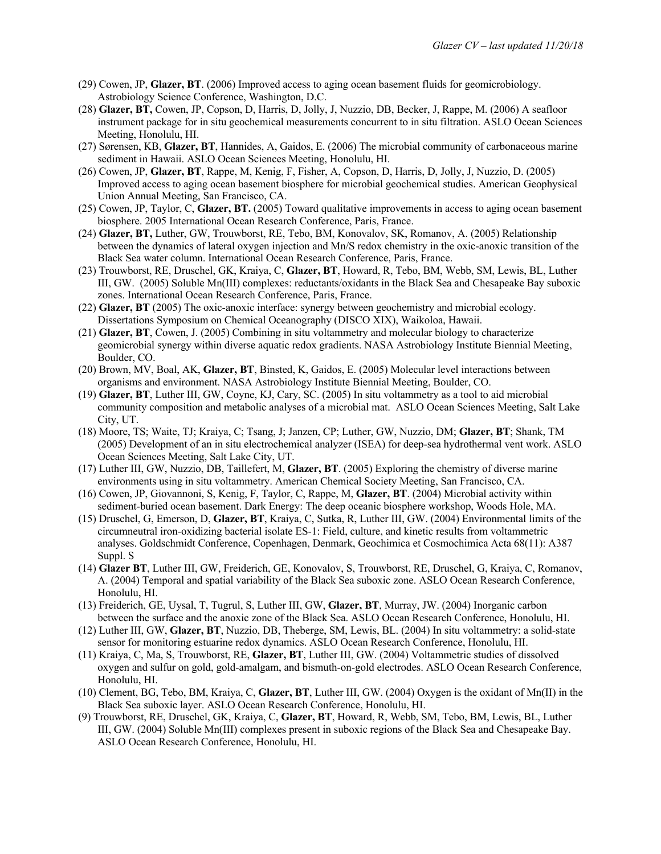- (29) Cowen, JP, **Glazer, BT**. (2006) Improved access to aging ocean basement fluids for geomicrobiology. Astrobiology Science Conference, Washington, D.C.
- (28) **Glazer, BT,** Cowen, JP, Copson, D, Harris, D, Jolly, J, Nuzzio, DB, Becker, J, Rappe, M. (2006) A seafloor instrument package for in situ geochemical measurements concurrent to in situ filtration. ASLO Ocean Sciences Meeting, Honolulu, HI.
- (27) Sørensen, KB, **Glazer, BT**, Hannides, A, Gaidos, E. (2006) The microbial community of carbonaceous marine sediment in Hawaii. ASLO Ocean Sciences Meeting, Honolulu, HI.
- (26) Cowen, JP, **Glazer, BT**, Rappe, M, Kenig, F, Fisher, A, Copson, D, Harris, D, Jolly, J, Nuzzio, D. (2005) Improved access to aging ocean basement biosphere for microbial geochemical studies. American Geophysical Union Annual Meeting, San Francisco, CA.
- (25) Cowen, JP, Taylor, C, **Glazer, BT.** (2005) Toward qualitative improvements in access to aging ocean basement biosphere. 2005 International Ocean Research Conference, Paris, France.
- (24) **Glazer, BT,** Luther, GW, Trouwborst, RE, Tebo, BM, Konovalov, SK, Romanov, A. (2005) Relationship between the dynamics of lateral oxygen injection and Mn/S redox chemistry in the oxic-anoxic transition of the Black Sea water column. International Ocean Research Conference, Paris, France.
- (23) Trouwborst, RE, Druschel, GK, Kraiya, C, **Glazer, BT**, Howard, R, Tebo, BM, Webb, SM, Lewis, BL, Luther III, GW. (2005) Soluble Mn(III) complexes: reductants/oxidants in the Black Sea and Chesapeake Bay suboxic zones. International Ocean Research Conference, Paris, France.
- (22) **Glazer, BT** (2005) The oxic-anoxic interface: synergy between geochemistry and microbial ecology. Dissertations Symposium on Chemical Oceanography (DISCO XIX), Waikoloa, Hawaii.
- (21) **Glazer, BT**, Cowen, J. (2005) Combining in situ voltammetry and molecular biology to characterize geomicrobial synergy within diverse aquatic redox gradients. NASA Astrobiology Institute Biennial Meeting, Boulder, CO.
- (20) Brown, MV, Boal, AK, **Glazer, BT**, Binsted, K, Gaidos, E. (2005) Molecular level interactions between organisms and environment. NASA Astrobiology Institute Biennial Meeting, Boulder, CO.
- (19) **Glazer, BT**, Luther III, GW, Coyne, KJ, Cary, SC. (2005) In situ voltammetry as a tool to aid microbial community composition and metabolic analyses of a microbial mat. ASLO Ocean Sciences Meeting, Salt Lake City, UT.
- (18) Moore, TS; Waite, TJ; Kraiya, C; Tsang, J; Janzen, CP; Luther, GW, Nuzzio, DM; **Glazer, BT**; Shank, TM (2005) Development of an in situ electrochemical analyzer (ISEA) for deep-sea hydrothermal vent work. ASLO Ocean Sciences Meeting, Salt Lake City, UT.
- (17) Luther III, GW, Nuzzio, DB, Taillefert, M, **Glazer, BT**. (2005) Exploring the chemistry of diverse marine environments using in situ voltammetry. American Chemical Society Meeting, San Francisco, CA.
- (16) Cowen, JP, Giovannoni, S, Kenig, F, Taylor, C, Rappe, M, **Glazer, BT**. (2004) Microbial activity within sediment-buried ocean basement. Dark Energy: The deep oceanic biosphere workshop, Woods Hole, MA.
- (15) Druschel, G, Emerson, D, **Glazer, BT**, Kraiya, C, Sutka, R, Luther III, GW. (2004) Environmental limits of the circumneutral iron-oxidizing bacterial isolate ES-1: Field, culture, and kinetic results from voltammetric analyses. Goldschmidt Conference, Copenhagen, Denmark, Geochimica et Cosmochimica Acta 68(11): A387 Suppl. S
- (14) **Glazer BT**, Luther III, GW, Freiderich, GE, Konovalov, S, Trouwborst, RE, Druschel, G, Kraiya, C, Romanov, A. (2004) Temporal and spatial variability of the Black Sea suboxic zone. ASLO Ocean Research Conference, Honolulu, HI.
- (13) Freiderich, GE, Uysal, T, Tugrul, S, Luther III, GW, **Glazer, BT**, Murray, JW. (2004) Inorganic carbon between the surface and the anoxic zone of the Black Sea. ASLO Ocean Research Conference, Honolulu, HI.
- (12) Luther III, GW, **Glazer, BT**, Nuzzio, DB, Theberge, SM, Lewis, BL. (2004) In situ voltammetry: a solid-state sensor for monitoring estuarine redox dynamics. ASLO Ocean Research Conference, Honolulu, HI.
- (11) Kraiya, C, Ma, S, Trouwborst, RE, **Glazer, BT**, Luther III, GW. (2004) Voltammetric studies of dissolved oxygen and sulfur on gold, gold-amalgam, and bismuth-on-gold electrodes. ASLO Ocean Research Conference, Honolulu, HI.
- (10) Clement, BG, Tebo, BM, Kraiya, C, **Glazer, BT**, Luther III, GW. (2004) Oxygen is the oxidant of Mn(II) in the Black Sea suboxic layer. ASLO Ocean Research Conference, Honolulu, HI.
- (9) Trouwborst, RE, Druschel, GK, Kraiya, C, **Glazer, BT**, Howard, R, Webb, SM, Tebo, BM, Lewis, BL, Luther III, GW. (2004) Soluble Mn(III) complexes present in suboxic regions of the Black Sea and Chesapeake Bay. ASLO Ocean Research Conference, Honolulu, HI.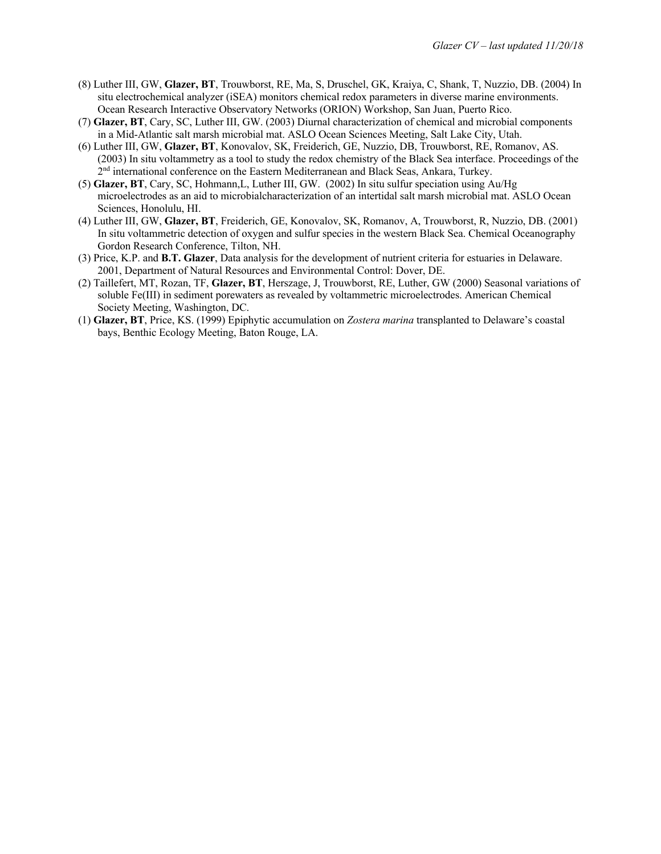- (8) Luther III, GW, **Glazer, BT**, Trouwborst, RE, Ma, S, Druschel, GK, Kraiya, C, Shank, T, Nuzzio, DB. (2004) In situ electrochemical analyzer (iSEA) monitors chemical redox parameters in diverse marine environments. Ocean Research Interactive Observatory Networks (ORION) Workshop, San Juan, Puerto Rico.
- (7) **Glazer, BT**, Cary, SC, Luther III, GW. (2003) Diurnal characterization of chemical and microbial components in a Mid-Atlantic salt marsh microbial mat. ASLO Ocean Sciences Meeting, Salt Lake City, Utah.
- (6) Luther III, GW, **Glazer, BT**, Konovalov, SK, Freiderich, GE, Nuzzio, DB, Trouwborst, RE, Romanov, AS. (2003) In situ voltammetry as a tool to study the redox chemistry of the Black Sea interface. Proceedings of the 2<sup>nd</sup> international conference on the Eastern Mediterranean and Black Seas, Ankara, Turkey.
- (5) **Glazer, BT**, Cary, SC, Hohmann,L, Luther III, GW. (2002) In situ sulfur speciation using Au/Hg microelectrodes as an aid to microbialcharacterization of an intertidal salt marsh microbial mat. ASLO Ocean Sciences, Honolulu, HI.
- (4) Luther III, GW, **Glazer, BT**, Freiderich, GE, Konovalov, SK, Romanov, A, Trouwborst, R, Nuzzio, DB. (2001) In situ voltammetric detection of oxygen and sulfur species in the western Black Sea. Chemical Oceanography Gordon Research Conference, Tilton, NH.
- (3) Price, K.P. and **B.T. Glazer**, Data analysis for the development of nutrient criteria for estuaries in Delaware. 2001, Department of Natural Resources and Environmental Control: Dover, DE.
- (2) Taillefert, MT, Rozan, TF, **Glazer, BT**, Herszage, J, Trouwborst, RE, Luther, GW (2000) Seasonal variations of soluble Fe(III) in sediment porewaters as revealed by voltammetric microelectrodes. American Chemical Society Meeting, Washington, DC.
- (1) **Glazer, BT**, Price, KS. (1999) Epiphytic accumulation on *Zostera marina* transplanted to Delaware's coastal bays, Benthic Ecology Meeting, Baton Rouge, LA.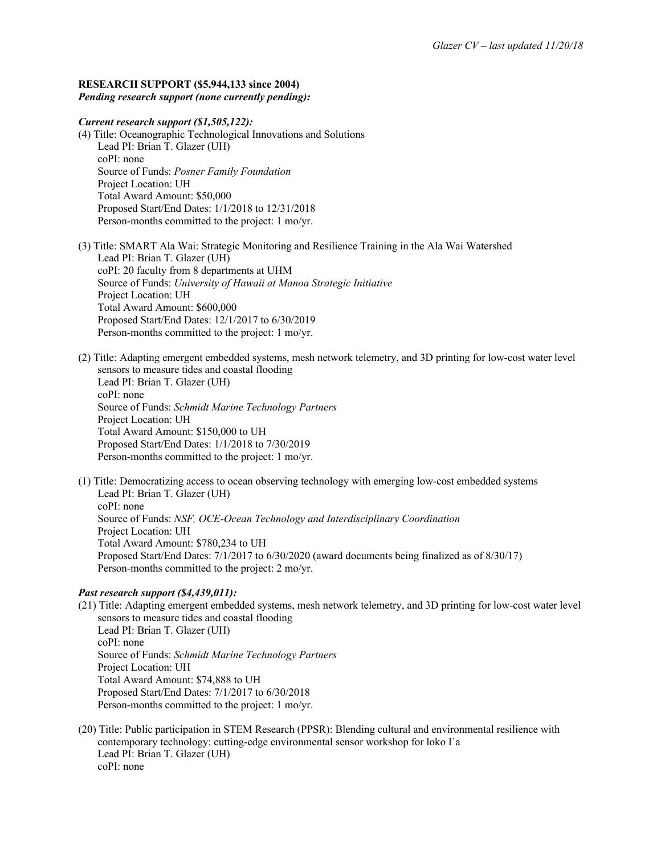#### **RESEARCH SUPPORT (\$5,944,133 since 2004)** *Pending research support (none currently pending):*

## *Current research support (\$1,505,122):*

(4) Title: Oceanographic Technological Innovations and Solutions Lead PI: Brian T. Glazer (UH) coPI: none Source of Funds: *Posner Family Foundation* Project Location: UH Total Award Amount: \$50,000 Proposed Start/End Dates: 1/1/2018 to 12/31/2018 Person-months committed to the project: 1 mo/yr.

(3) Title: SMART Ala Wai: Strategic Monitoring and Resilience Training in the Ala Wai Watershed Lead PI: Brian T. Glazer (UH) coPI: 20 faculty from 8 departments at UHM Source of Funds: *University of Hawaii at Manoa Strategic Initiative* Project Location: UH Total Award Amount: \$600,000 Proposed Start/End Dates: 12/1/2017 to 6/30/2019 Person-months committed to the project: 1 mo/yr.

- (2) Title: Adapting emergent embedded systems, mesh network telemetry, and 3D printing for low-cost water level sensors to measure tides and coastal flooding Lead PI: Brian T. Glazer (UH) coPI: none Source of Funds: *Schmidt Marine Technology Partners* Project Location: UH Total Award Amount: \$150,000 to UH Proposed Start/End Dates: 1/1/2018 to 7/30/2019 Person-months committed to the project: 1 mo/yr.
- (1) Title: Democratizing access to ocean observing technology with emerging low-cost embedded systems Lead PI: Brian T. Glazer (UH) coPI: none Source of Funds: *NSF, OCE-Ocean Technology and Interdisciplinary Coordination* Project Location: UH Total Award Amount: \$780,234 to UH Proposed Start/End Dates: 7/1/2017 to 6/30/2020 (award documents being finalized as of 8/30/17) Person-months committed to the project: 2 mo/yr.

## *Past research support (\$4,439,011):*

- (21) Title: Adapting emergent embedded systems, mesh network telemetry, and 3D printing for low-cost water level sensors to measure tides and coastal flooding Lead PI: Brian T. Glazer (UH) coPI: none Source of Funds: *Schmidt Marine Technology Partners* Project Location: UH Total Award Amount: \$74,888 to UH Proposed Start/End Dates: 7/1/2017 to 6/30/2018 Person-months committed to the project: 1 mo/yr.
- (20) Title: Public participation in STEM Research (PPSR): Blending cultural and environmental resilience with contemporary technology: cutting-edge environmental sensor workshop for loko I`a Lead PI: Brian T. Glazer (UH) coPI: none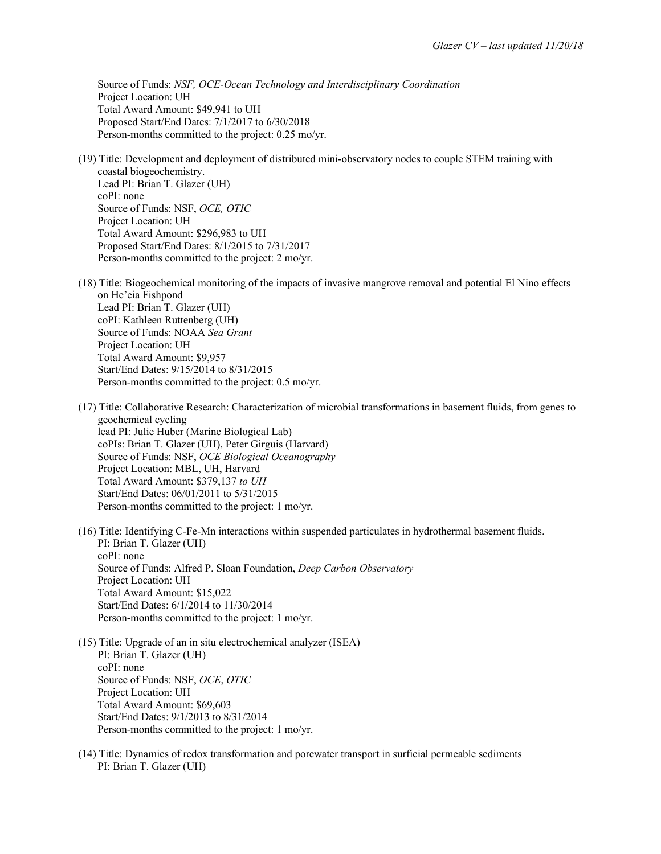Source of Funds: *NSF, OCE-Ocean Technology and Interdisciplinary Coordination* Project Location: UH Total Award Amount: \$49,941 to UH Proposed Start/End Dates: 7/1/2017 to 6/30/2018 Person-months committed to the project: 0.25 mo/yr.

- (19) Title: Development and deployment of distributed mini-observatory nodes to couple STEM training with coastal biogeochemistry. Lead PI: Brian T. Glazer (UH) coPI: none Source of Funds: NSF, *OCE, OTIC* Project Location: UH Total Award Amount: \$296,983 to UH Proposed Start/End Dates: 8/1/2015 to 7/31/2017 Person-months committed to the project: 2 mo/yr.
- (18) Title: Biogeochemical monitoring of the impacts of invasive mangrove removal and potential El Nino effects on He'eia Fishpond Lead PI: Brian T. Glazer (UH) coPI: Kathleen Ruttenberg (UH) Source of Funds: NOAA *Sea Grant* Project Location: UH Total Award Amount: \$9,957 Start/End Dates: 9/15/2014 to 8/31/2015 Person-months committed to the project: 0.5 mo/yr.
- (17) Title: Collaborative Research: Characterization of microbial transformations in basement fluids, from genes to geochemical cycling lead PI: Julie Huber (Marine Biological Lab) coPIs: Brian T. Glazer (UH), Peter Girguis (Harvard) Source of Funds: NSF, *OCE Biological Oceanography* Project Location: MBL, UH, Harvard Total Award Amount: \$379,137 *to UH* Start/End Dates: 06/01/2011 to 5/31/2015 Person-months committed to the project: 1 mo/yr.
- (16) Title: Identifying C-Fe-Mn interactions within suspended particulates in hydrothermal basement fluids. PI: Brian T. Glazer (UH) coPI: none Source of Funds: Alfred P. Sloan Foundation, *Deep Carbon Observatory* Project Location: UH Total Award Amount: \$15,022 Start/End Dates: 6/1/2014 to 11/30/2014 Person-months committed to the project: 1 mo/yr.
- (15) Title: Upgrade of an in situ electrochemical analyzer (ISEA) PI: Brian T. Glazer (UH) coPI: none Source of Funds: NSF, *OCE*, *OTIC* Project Location: UH Total Award Amount: \$69,603 Start/End Dates: 9/1/2013 to 8/31/2014 Person-months committed to the project: 1 mo/yr.
- (14) Title: Dynamics of redox transformation and porewater transport in surficial permeable sediments PI: Brian T. Glazer (UH)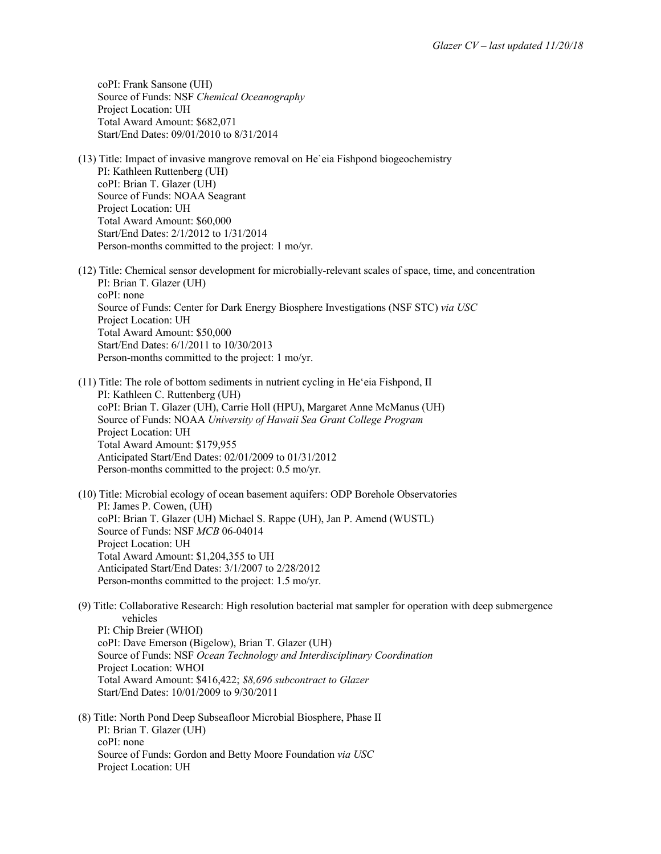coPI: Frank Sansone (UH) Source of Funds: NSF *Chemical Oceanography* Project Location: UH Total Award Amount: \$682,071 Start/End Dates: 09/01/2010 to 8/31/2014

- (13) Title: Impact of invasive mangrove removal on He`eia Fishpond biogeochemistry PI: Kathleen Ruttenberg (UH) coPI: Brian T. Glazer (UH) Source of Funds: NOAA Seagrant Project Location: UH Total Award Amount: \$60,000 Start/End Dates: 2/1/2012 to 1/31/2014 Person-months committed to the project: 1 mo/yr.
- (12) Title: Chemical sensor development for microbially-relevant scales of space, time, and concentration PI: Brian T. Glazer (UH) coPI: none Source of Funds: Center for Dark Energy Biosphere Investigations (NSF STC) *via USC* Project Location: UH Total Award Amount: \$50,000 Start/End Dates: 6/1/2011 to 10/30/2013 Person-months committed to the project: 1 mo/yr.
- (11) Title: The role of bottom sediments in nutrient cycling in Heʻeia Fishpond, II PI: Kathleen C. Ruttenberg (UH) coPI: Brian T. Glazer (UH), Carrie Holl (HPU), Margaret Anne McManus (UH) Source of Funds: NOAA *University of Hawaii Sea Grant College Program* Project Location: UH Total Award Amount: \$179,955 Anticipated Start/End Dates: 02/01/2009 to 01/31/2012 Person-months committed to the project: 0.5 mo/yr.

(10) Title: Microbial ecology of ocean basement aquifers: ODP Borehole Observatories PI: James P. Cowen, (UH) coPI: Brian T. Glazer (UH) Michael S. Rappe (UH), Jan P. Amend (WUSTL) Source of Funds: NSF *MCB* 06-04014 Project Location: UH Total Award Amount: \$1,204,355 to UH Anticipated Start/End Dates: 3/1/2007 to 2/28/2012 Person-months committed to the project: 1.5 mo/yr.

- (9) Title: Collaborative Research: High resolution bacterial mat sampler for operation with deep submergence vehicles PI: Chip Breier (WHOI) coPI: Dave Emerson (Bigelow), Brian T. Glazer (UH) Source of Funds: NSF *Ocean Technology and Interdisciplinary Coordination* Project Location: WHOI Total Award Amount: \$416,422; *\$8,696 subcontract to Glazer* Start/End Dates: 10/01/2009 to 9/30/2011
- (8) Title: North Pond Deep Subseafloor Microbial Biosphere, Phase II PI: Brian T. Glazer (UH) coPI: none Source of Funds: Gordon and Betty Moore Foundation *via USC* Project Location: UH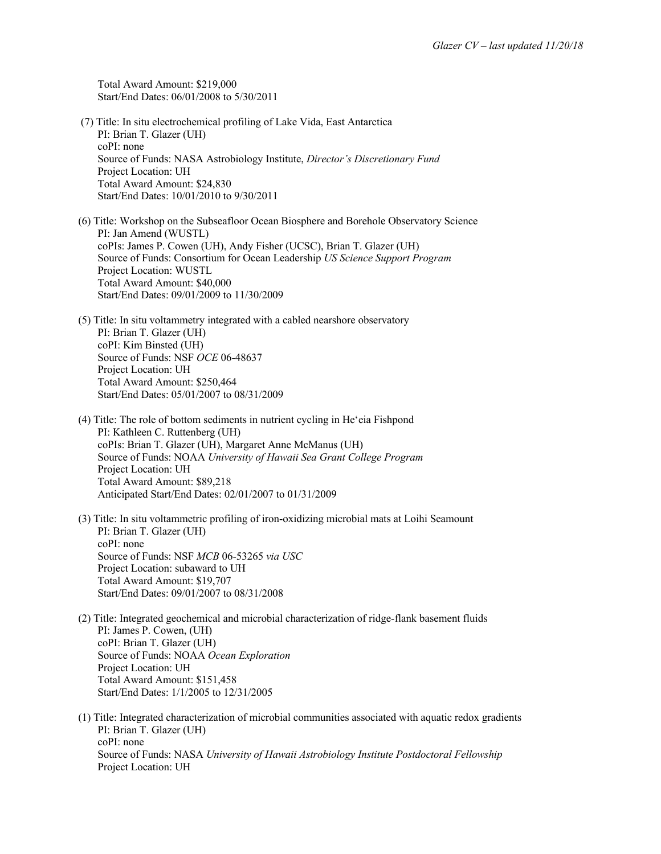Total Award Amount: \$219,000 Start/End Dates: 06/01/2008 to 5/30/2011

- (7) Title: In situ electrochemical profiling of Lake Vida, East Antarctica PI: Brian T. Glazer (UH) coPI: none Source of Funds: NASA Astrobiology Institute, *Director's Discretionary Fund* Project Location: UH Total Award Amount: \$24,830 Start/End Dates: 10/01/2010 to 9/30/2011
- (6) Title: Workshop on the Subseafloor Ocean Biosphere and Borehole Observatory Science PI: Jan Amend (WUSTL) coPIs: James P. Cowen (UH), Andy Fisher (UCSC), Brian T. Glazer (UH) Source of Funds: Consortium for Ocean Leadership *US Science Support Program* Project Location: WUSTL Total Award Amount: \$40,000 Start/End Dates: 09/01/2009 to 11/30/2009
- (5) Title: In situ voltammetry integrated with a cabled nearshore observatory PI: Brian T. Glazer (UH) coPI: Kim Binsted (UH) Source of Funds: NSF *OCE* 06-48637 Project Location: UH Total Award Amount: \$250,464 Start/End Dates: 05/01/2007 to 08/31/2009
- (4) Title: The role of bottom sediments in nutrient cycling in Heʻeia Fishpond PI: Kathleen C. Ruttenberg (UH) coPIs: Brian T. Glazer (UH), Margaret Anne McManus (UH) Source of Funds: NOAA *University of Hawaii Sea Grant College Program* Project Location: UH Total Award Amount: \$89,218 Anticipated Start/End Dates: 02/01/2007 to 01/31/2009
- (3) Title: In situ voltammetric profiling of iron-oxidizing microbial mats at Loihi Seamount PI: Brian T. Glazer (UH) coPI: none Source of Funds: NSF *MCB* 06-53265 *via USC* Project Location: subaward to UH Total Award Amount: \$19,707 Start/End Dates: 09/01/2007 to 08/31/2008
- (2) Title: Integrated geochemical and microbial characterization of ridge-flank basement fluids PI: James P. Cowen, (UH) coPI: Brian T. Glazer (UH) Source of Funds: NOAA *Ocean Exploration* Project Location: UH Total Award Amount: \$151,458 Start/End Dates: 1/1/2005 to 12/31/2005
- (1) Title: Integrated characterization of microbial communities associated with aquatic redox gradients PI: Brian T. Glazer (UH) coPI: none Source of Funds: NASA *University of Hawaii Astrobiology Institute Postdoctoral Fellowship* Project Location: UH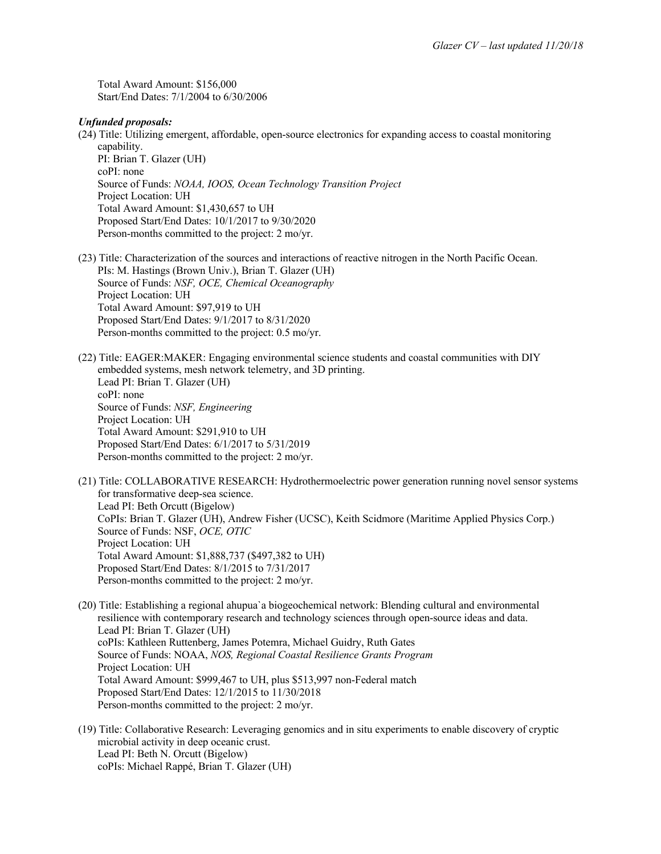Total Award Amount: \$156,000 Start/End Dates: 7/1/2004 to 6/30/2006

#### *Unfunded proposals:*

- (24) Title: Utilizing emergent, affordable, open-source electronics for expanding access to coastal monitoring capability. PI: Brian T. Glazer (UH) coPI: none Source of Funds: *NOAA, IOOS, Ocean Technology Transition Project* Project Location: UH Total Award Amount: \$1,430,657 to UH Proposed Start/End Dates: 10/1/2017 to 9/30/2020
	- Person-months committed to the project: 2 mo/yr.
- (23) Title: Characterization of the sources and interactions of reactive nitrogen in the North Pacific Ocean. PIs: M. Hastings (Brown Univ.), Brian T. Glazer (UH) Source of Funds: *NSF, OCE, Chemical Oceanography* Project Location: UH Total Award Amount: \$97,919 to UH Proposed Start/End Dates: 9/1/2017 to 8/31/2020 Person-months committed to the project: 0.5 mo/yr.
- (22) Title: EAGER:MAKER: Engaging environmental science students and coastal communities with DIY embedded systems, mesh network telemetry, and 3D printing. Lead PI: Brian T. Glazer (UH) coPI: none Source of Funds: *NSF, Engineering* Project Location: UH Total Award Amount: \$291,910 to UH Proposed Start/End Dates: 6/1/2017 to 5/31/2019 Person-months committed to the project: 2 mo/yr.
- (21) Title: COLLABORATIVE RESEARCH: Hydrothermoelectric power generation running novel sensor systems for transformative deep-sea science. Lead PI: Beth Orcutt (Bigelow) CoPIs: Brian T. Glazer (UH), Andrew Fisher (UCSC), Keith Scidmore (Maritime Applied Physics Corp.) Source of Funds: NSF, *OCE, OTIC* Project Location: UH Total Award Amount: \$1,888,737 (\$497,382 to UH) Proposed Start/End Dates: 8/1/2015 to 7/31/2017 Person-months committed to the project: 2 mo/yr.
- (20) Title: Establishing a regional ahupua`a biogeochemical network: Blending cultural and environmental resilience with contemporary research and technology sciences through open-source ideas and data. Lead PI: Brian T. Glazer (UH) coPIs: Kathleen Ruttenberg, James Potemra, Michael Guidry, Ruth Gates Source of Funds: NOAA, *NOS, Regional Coastal Resilience Grants Program* Project Location: UH Total Award Amount: \$999,467 to UH, plus \$513,997 non-Federal match Proposed Start/End Dates: 12/1/2015 to 11/30/2018 Person-months committed to the project: 2 mo/yr.
- (19) Title: Collaborative Research: Leveraging genomics and in situ experiments to enable discovery of cryptic microbial activity in deep oceanic crust. Lead PI: Beth N. Orcutt (Bigelow) coPIs: Michael Rappé, Brian T. Glazer (UH)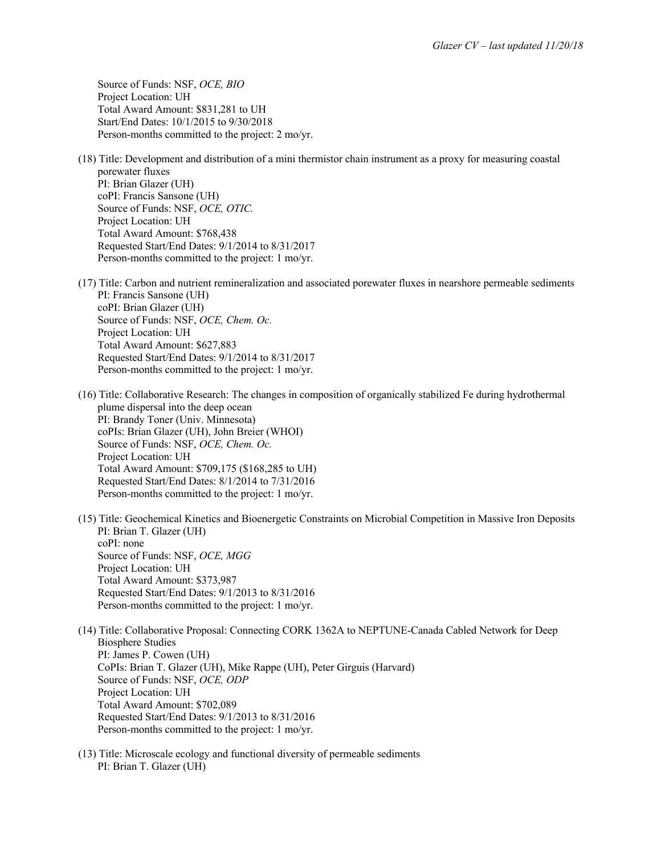Source of Funds: NSF, *OCE, BIO* Project Location: UH Total Award Amount: \$831,281 to UH Start/End Dates: 10/1/2015 to 9/30/2018 Person-months committed to the project: 2 mo/yr.

- (18) Title: Development and distribution of a mini thermistor chain instrument as a proxy for measuring coastal porewater fluxes PI: Brian Glazer (UH) coPI: Francis Sansone (UH) Source of Funds: NSF, *OCE, OTIC.* Project Location: UH Total Award Amount: \$768,438 Requested Start/End Dates: 9/1/2014 to 8/31/2017 Person-months committed to the project: 1 mo/yr.
- (17) Title: Carbon and nutrient remineralization and associated porewater fluxes in nearshore permeable sediments PI: Francis Sansone (UH) coPI: Brian Glazer (UH) Source of Funds: NSF, *OCE, Chem. Oc.* Project Location: UH Total Award Amount: \$627,883 Requested Start/End Dates: 9/1/2014 to 8/31/2017 Person-months committed to the project: 1 mo/yr.
- (16) Title: Collaborative Research: The changes in composition of organically stabilized Fe during hydrothermal plume dispersal into the deep ocean PI: Brandy Toner (Univ. Minnesota) coPIs: Brian Glazer (UH), John Breier (WHOI) Source of Funds: NSF, *OCE, Chem. Oc.* Project Location: UH Total Award Amount: \$709,175 (\$168,285 to UH) Requested Start/End Dates: 8/1/2014 to 7/31/2016 Person-months committed to the project: 1 mo/yr.
- (15) Title: Geochemical Kinetics and Bioenergetic Constraints on Microbial Competition in Massive Iron Deposits PI: Brian T. Glazer (UH) coPI: none Source of Funds: NSF, *OCE, MGG* Project Location: UH Total Award Amount: \$373,987 Requested Start/End Dates: 9/1/2013 to 8/31/2016 Person-months committed to the project: 1 mo/yr.
- (14) Title: Collaborative Proposal: Connecting CORK 1362A to NEPTUNE-Canada Cabled Network for Deep Biosphere Studies PI: James P. Cowen (UH) CoPIs: Brian T. Glazer (UH), Mike Rappe (UH), Peter Girguis (Harvard) Source of Funds: NSF, *OCE, ODP* Project Location: UH Total Award Amount: \$702,089 Requested Start/End Dates: 9/1/2013 to 8/31/2016 Person-months committed to the project: 1 mo/yr.
- (13) Title: Microscale ecology and functional diversity of permeable sediments PI: Brian T. Glazer (UH)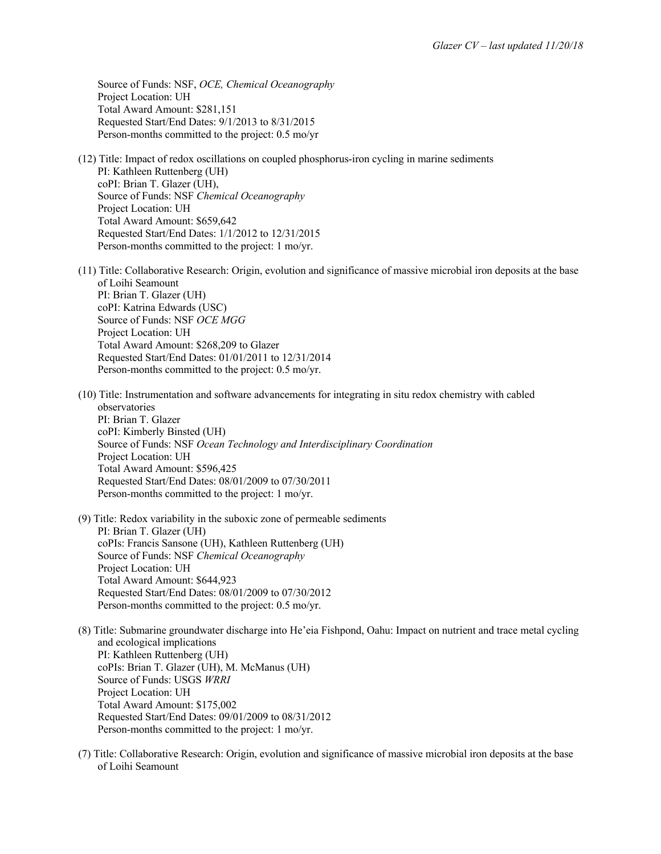Source of Funds: NSF, *OCE, Chemical Oceanography* Project Location: UH Total Award Amount: \$281,151 Requested Start/End Dates: 9/1/2013 to 8/31/2015 Person-months committed to the project: 0.5 mo/yr

- (12) Title: Impact of redox oscillations on coupled phosphorus-iron cycling in marine sediments PI: Kathleen Ruttenberg (UH) coPI: Brian T. Glazer (UH), Source of Funds: NSF *Chemical Oceanography* Project Location: UH Total Award Amount: \$659,642 Requested Start/End Dates: 1/1/2012 to 12/31/2015 Person-months committed to the project: 1 mo/yr.
- (11) Title: Collaborative Research: Origin, evolution and significance of massive microbial iron deposits at the base of Loihi Seamount PI: Brian T. Glazer (UH) coPI: Katrina Edwards (USC) Source of Funds: NSF *OCE MGG* Project Location: UH Total Award Amount: \$268,209 to Glazer Requested Start/End Dates: 01/01/2011 to 12/31/2014 Person-months committed to the project: 0.5 mo/yr.
- (10) Title: Instrumentation and software advancements for integrating in situ redox chemistry with cabled observatories PI: Brian T. Glazer coPI: Kimberly Binsted (UH) Source of Funds: NSF *Ocean Technology and Interdisciplinary Coordination* Project Location: UH Total Award Amount: \$596,425 Requested Start/End Dates: 08/01/2009 to 07/30/2011 Person-months committed to the project: 1 mo/yr.
- (9) Title: Redox variability in the suboxic zone of permeable sediments PI: Brian T. Glazer (UH) coPIs: Francis Sansone (UH), Kathleen Ruttenberg (UH) Source of Funds: NSF *Chemical Oceanography* Project Location: UH Total Award Amount: \$644,923 Requested Start/End Dates: 08/01/2009 to 07/30/2012 Person-months committed to the project: 0.5 mo/yr.
- (8) Title: Submarine groundwater discharge into He'eia Fishpond, Oahu: Impact on nutrient and trace metal cycling and ecological implications PI: Kathleen Ruttenberg (UH) coPIs: Brian T. Glazer (UH), M. McManus (UH) Source of Funds: USGS *WRRI* Project Location: UH Total Award Amount: \$175,002 Requested Start/End Dates: 09/01/2009 to 08/31/2012 Person-months committed to the project: 1 mo/yr.
- (7) Title: Collaborative Research: Origin, evolution and significance of massive microbial iron deposits at the base of Loihi Seamount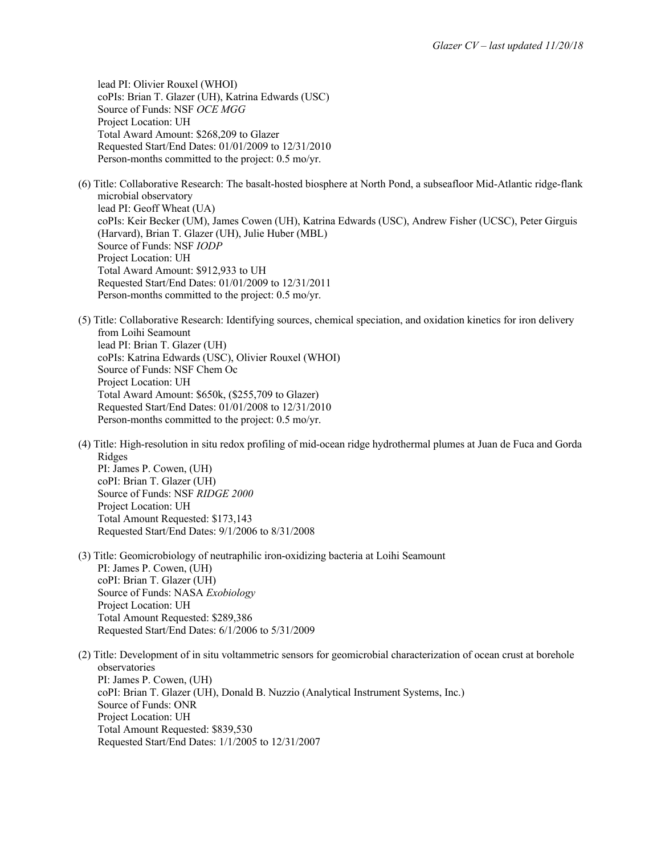lead PI: Olivier Rouxel (WHOI) coPIs: Brian T. Glazer (UH), Katrina Edwards (USC) Source of Funds: NSF *OCE MGG* Project Location: UH Total Award Amount: \$268,209 to Glazer Requested Start/End Dates: 01/01/2009 to 12/31/2010 Person-months committed to the project: 0.5 mo/yr.

- (6) Title: Collaborative Research: The basalt-hosted biosphere at North Pond, a subseafloor Mid-Atlantic ridge-flank microbial observatory lead PI: Geoff Wheat (UA) coPIs: Keir Becker (UM), James Cowen (UH), Katrina Edwards (USC), Andrew Fisher (UCSC), Peter Girguis (Harvard), Brian T. Glazer (UH), Julie Huber (MBL) Source of Funds: NSF *IODP* Project Location: UH Total Award Amount: \$912,933 to UH Requested Start/End Dates: 01/01/2009 to 12/31/2011 Person-months committed to the project: 0.5 mo/yr.
- (5) Title: Collaborative Research: Identifying sources, chemical speciation, and oxidation kinetics for iron delivery from Loihi Seamount lead PI: Brian T. Glazer (UH) coPIs: Katrina Edwards (USC), Olivier Rouxel (WHOI) Source of Funds: NSF Chem Oc Project Location: UH Total Award Amount: \$650k, (\$255,709 to Glazer) Requested Start/End Dates: 01/01/2008 to 12/31/2010 Person-months committed to the project: 0.5 mo/yr.
- (4) Title: High-resolution in situ redox profiling of mid-ocean ridge hydrothermal plumes at Juan de Fuca and Gorda Ridges PI: James P. Cowen, (UH) coPI: Brian T. Glazer (UH) Source of Funds: NSF *RIDGE 2000* Project Location: UH Total Amount Requested: \$173,143 Requested Start/End Dates: 9/1/2006 to 8/31/2008
- (3) Title: Geomicrobiology of neutraphilic iron-oxidizing bacteria at Loihi Seamount PI: James P. Cowen, (UH) coPI: Brian T. Glazer (UH) Source of Funds: NASA *Exobiology* Project Location: UH Total Amount Requested: \$289,386 Requested Start/End Dates: 6/1/2006 to 5/31/2009
- (2) Title: Development of in situ voltammetric sensors for geomicrobial characterization of ocean crust at borehole observatories PI: James P. Cowen, (UH) coPI: Brian T. Glazer (UH), Donald B. Nuzzio (Analytical Instrument Systems, Inc.) Source of Funds: ONR Project Location: UH Total Amount Requested: \$839,530 Requested Start/End Dates: 1/1/2005 to 12/31/2007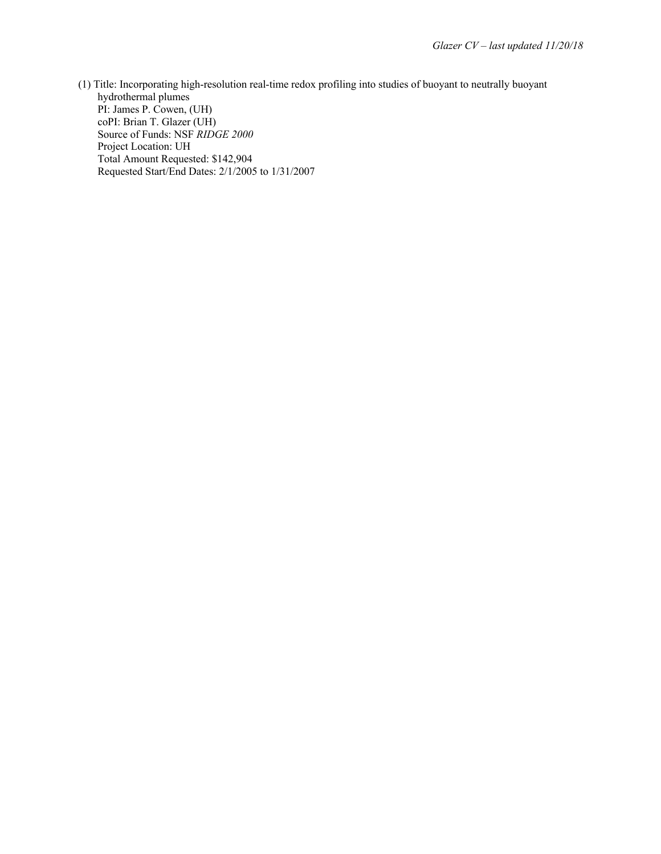(1) Title: Incorporating high-resolution real-time redox profiling into studies of buoyant to neutrally buoyant hydrothermal plumes PI: James P. Cowen, (UH) coPI: Brian T. Glazer (UH) Source of Funds: NSF *RIDGE 2000* Project Location: UH Total Amount Requested: \$142,904 Requested Start/End Dates: 2/1/2005 to 1/31/2007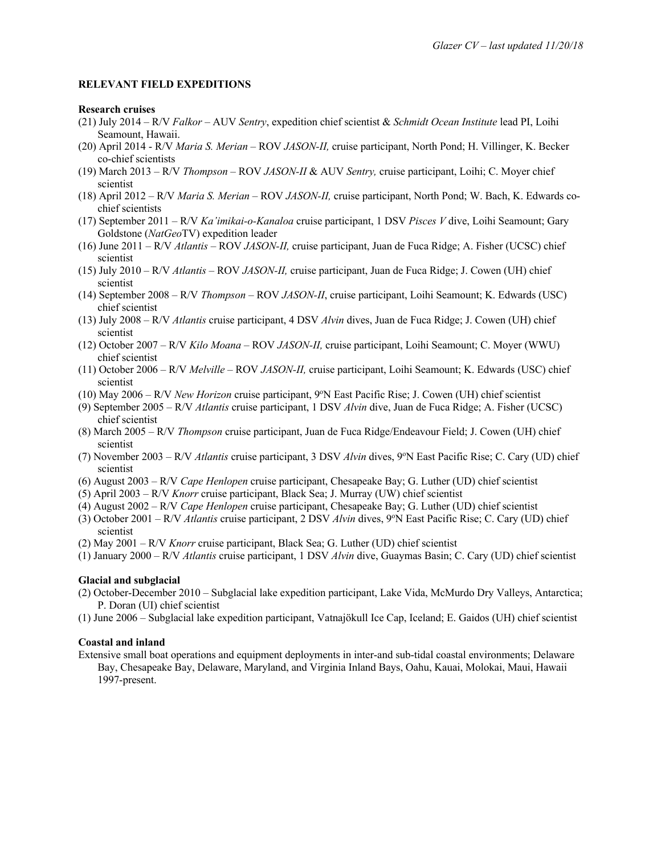#### **RELEVANT FIELD EXPEDITIONS**

#### **Research cruises**

- (21) July 2014 R/V *Falkor* AUV *Sentry*, expedition chief scientist & *Schmidt Ocean Institute* lead PI, Loihi Seamount, Hawaii.
- (20) April 2014 R/V *Maria S. Merian* ROV *JASON-II,* cruise participant, North Pond; H. Villinger, K. Becker co-chief scientists
- (19) March 2013 R/V *Thompson* ROV *JASON-II* & AUV *Sentry,* cruise participant, Loihi; C. Moyer chief scientist
- (18) April 2012 R/V *Maria S. Merian* ROV *JASON-II,* cruise participant, North Pond; W. Bach, K. Edwards cochief scientists
- (17) September 2011 R/V *Ka'imikai-o-Kanaloa* cruise participant, 1 DSV *Pisces V* dive, Loihi Seamount; Gary Goldstone (*NatGeo*TV) expedition leader
- (16) June 2011 R/V *Atlantis* ROV *JASON-II,* cruise participant, Juan de Fuca Ridge; A. Fisher (UCSC) chief scientist
- (15) July 2010 R/V *Atlantis* ROV *JASON-II,* cruise participant, Juan de Fuca Ridge; J. Cowen (UH) chief scientist
- (14) September 2008 R/V *Thompson* ROV *JASON-II*, cruise participant, Loihi Seamount; K. Edwards (USC) chief scientist
- (13) July 2008 R/V *Atlantis* cruise participant, 4 DSV *Alvin* dives, Juan de Fuca Ridge; J. Cowen (UH) chief scientist
- (12) October 2007 R/V *Kilo Moana* ROV *JASON-II,* cruise participant, Loihi Seamount; C. Moyer (WWU) chief scientist
- (11) October 2006 R/V *Melville* ROV *JASON-II,* cruise participant, Loihi Seamount; K. Edwards (USC) chief scientist
- (10) May 2006 R/V *New Horizon* cruise participant, 9°N East Pacific Rise; J. Cowen (UH) chief scientist
- (9) September 2005 R/V *Atlantis* cruise participant, 1 DSV *Alvin* dive, Juan de Fuca Ridge; A. Fisher (UCSC) chief scientist
- (8) March 2005 R/V *Thompson* cruise participant, Juan de Fuca Ridge/Endeavour Field; J. Cowen (UH) chief scientist
- (7) November 2003 R/V *Atlantis* cruise participant, 3 DSV *Alvin* dives, 9°N East Pacific Rise; C. Cary (UD) chief scientist
- (6) August 2003 R/V *Cape Henlopen* cruise participant, Chesapeake Bay; G. Luther (UD) chief scientist
- (5) April 2003 R/V *Knorr* cruise participant, Black Sea; J. Murray (UW) chief scientist
- (4) August 2002 R/V *Cape Henlopen* cruise participant, Chesapeake Bay; G. Luther (UD) chief scientist
- (3) October 2001 R/V Atlantis cruise participant, 2 DSV Alvin dives, 9°N East Pacific Rise; C. Cary (UD) chief scientist
- (2) May 2001 R/V *Knorr* cruise participant, Black Sea; G. Luther (UD) chief scientist
- (1) January 2000 R/V *Atlantis* cruise participant, 1 DSV *Alvin* dive, Guaymas Basin; C. Cary (UD) chief scientist

#### **Glacial and subglacial**

- (2) October-December 2010 Subglacial lake expedition participant, Lake Vida, McMurdo Dry Valleys, Antarctica; P. Doran (UI) chief scientist
- (1) June 2006 Subglacial lake expedition participant, Vatnajökull Ice Cap, Iceland; E. Gaidos (UH) chief scientist

#### **Coastal and inland**

Extensive small boat operations and equipment deployments in inter-and sub-tidal coastal environments; Delaware Bay, Chesapeake Bay, Delaware, Maryland, and Virginia Inland Bays, Oahu, Kauai, Molokai, Maui, Hawaii 1997-present.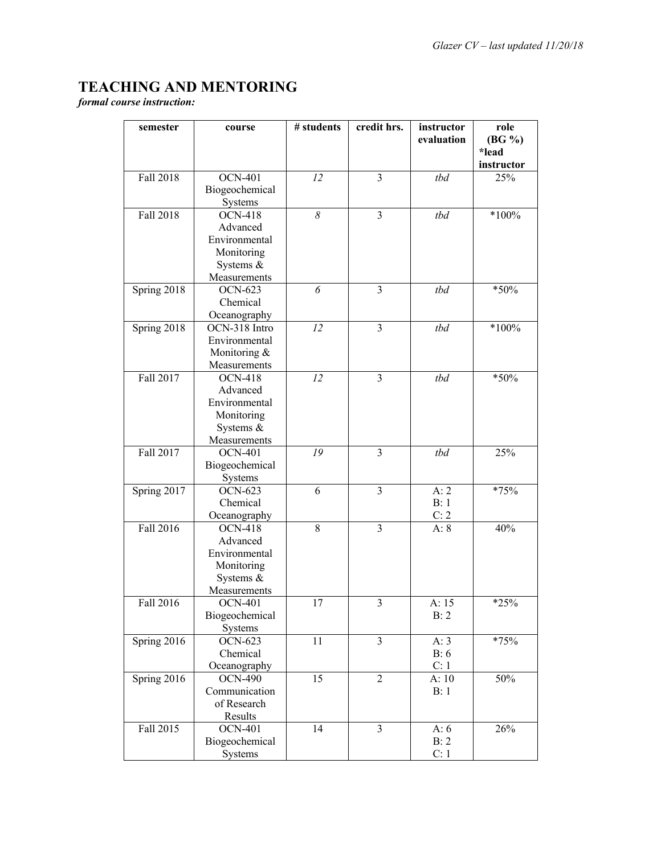# **TEACHING AND MENTORING**

*formal course instruction:*

| semester         | course                    | # students | credit hrs.             | instructor<br>evaluation | role<br>$(BG \%)$   |
|------------------|---------------------------|------------|-------------------------|--------------------------|---------------------|
|                  |                           |            |                         |                          | *lead<br>instructor |
| <b>Fall 2018</b> | <b>OCN-401</b>            | 12         | 3                       | tbd                      | 25%                 |
|                  | Biogeochemical            |            |                         |                          |                     |
|                  | Systems                   |            |                         |                          |                     |
| <b>Fall 2018</b> | <b>OCN-418</b>            | 8          | $\overline{\mathbf{3}}$ | tbd                      | $*100\%$            |
|                  | Advanced                  |            |                         |                          |                     |
|                  | Environmental             |            |                         |                          |                     |
|                  | Monitoring                |            |                         |                          |                     |
|                  | Systems &                 |            |                         |                          |                     |
|                  | Measurements              |            |                         |                          |                     |
| Spring 2018      | <b>OCN-623</b>            | 6          | $\overline{3}$          | tbd                      | *50%                |
|                  | Chemical                  |            |                         |                          |                     |
|                  | Oceanography              |            |                         |                          |                     |
| Spring 2018      | OCN-318 Intro             | 12         | $\overline{3}$          | tbd                      | $*100%$             |
|                  | Environmental             |            |                         |                          |                     |
|                  | Monitoring &              |            |                         |                          |                     |
|                  | Measurements              |            |                         |                          |                     |
| Fall 2017        | <b>OCN-418</b>            | 12         | $\overline{3}$          | tbd                      | *50%                |
|                  | Advanced                  |            |                         |                          |                     |
|                  | Environmental             |            |                         |                          |                     |
|                  | Monitoring                |            |                         |                          |                     |
|                  | Systems &                 |            |                         |                          |                     |
| Fall 2017        | Measurements              | 19         | 3                       |                          |                     |
|                  | <b>OCN-401</b>            |            |                         | tbd                      | 25%                 |
|                  | Biogeochemical            |            |                         |                          |                     |
| Spring 2017      | Systems<br><b>OCN-623</b> | 6          | $\overline{3}$          | A:2                      | *75%                |
|                  | Chemical                  |            |                         | B:1                      |                     |
|                  | Oceanography              |            |                         | C: 2                     |                     |
| Fall 2016        | <b>OCN-418</b>            | $8\,$      | $\overline{3}$          | A: 8                     | 40%                 |
|                  | Advanced                  |            |                         |                          |                     |
|                  | Environmental             |            |                         |                          |                     |
|                  | Monitoring                |            |                         |                          |                     |
|                  | Systems &                 |            |                         |                          |                     |
|                  | Measurements              |            |                         |                          |                     |
| Fall 2016        | <b>OCN-401</b>            | 17         | 3                       | A: 15                    | $*25%$              |
|                  | Biogeochemical            |            |                         | B: 2                     |                     |
|                  | Systems                   |            |                         |                          |                     |
| Spring 2016      | <b>OCN-623</b>            | 11         | $\overline{3}$          | A: 3                     | *75%                |
|                  | Chemical                  |            |                         | B:6                      |                     |
|                  | Oceanography              |            |                         | C: 1                     |                     |
| Spring 2016      | <b>OCN-490</b>            | 15         | $\overline{2}$          | A:10                     | 50%                 |
|                  | Communication             |            |                         | B:1                      |                     |
|                  | of Research               |            |                         |                          |                     |
|                  | Results                   |            |                         |                          |                     |
| Fall 2015        | <b>OCN-401</b>            | 14         | 3                       | A: $6$                   | 26%                 |
|                  | Biogeochemical            |            |                         | B: 2                     |                     |
|                  | Systems                   |            |                         | C: 1                     |                     |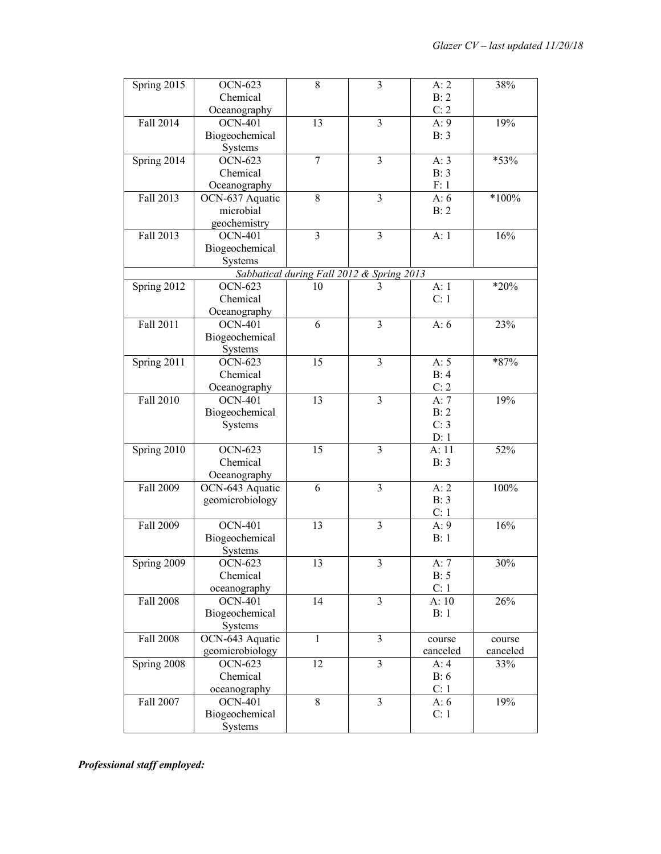| Spring 2015      | <b>OCN-623</b>  | 8              | 3                                              | A:2      | 38%      |
|------------------|-----------------|----------------|------------------------------------------------|----------|----------|
|                  | Chemical        |                |                                                | B: 2     |          |
|                  | Oceanography    |                |                                                | C: 2     |          |
| <b>Fall 2014</b> | <b>OCN-401</b>  | 13             | $\overline{3}$                                 | A:9      | 19%      |
|                  | Biogeochemical  |                |                                                | B: 3     |          |
|                  | Systems         |                |                                                |          |          |
| Spring 2014      | <b>OCN-623</b>  | 7              | 3                                              | A: 3     | *53%     |
|                  | Chemical        |                |                                                | B: 3     |          |
|                  | Oceanography    |                |                                                | F: 1     |          |
| Fall 2013        | OCN-637 Aquatic | 8              | 3                                              | A: $6$   | $*100\%$ |
|                  | microbial       |                |                                                | B: 2     |          |
|                  | geochemistry    |                |                                                |          |          |
| Fall 2013        | <b>OCN-401</b>  | $\overline{3}$ | $\overline{\mathbf{3}}$                        | A:1      | 16%      |
|                  | Biogeochemical  |                |                                                |          |          |
|                  | Systems         |                |                                                |          |          |
|                  |                 |                |                                                |          |          |
|                  | <b>OCN-623</b>  | 10             | Sabbatical during Fall 2012 & Spring 2013<br>3 |          | $*20%$   |
| Spring 2012      |                 |                |                                                | A:1      |          |
|                  | Chemical        |                |                                                | C: 1     |          |
|                  | Oceanography    |                |                                                |          |          |
| Fall 2011        | <b>OCN-401</b>  | 6              | 3                                              | A: $6$   | 23%      |
|                  | Biogeochemical  |                |                                                |          |          |
|                  | Systems         |                |                                                |          |          |
| Spring 2011      | OCN-623         | 15             | $\overline{3}$                                 | A: 5     | *87%     |
|                  | Chemical        |                |                                                | B: 4     |          |
|                  | Oceanography    |                |                                                | C: 2     |          |
| Fall 2010        | <b>OCN-401</b>  | 13             | 3                                              | A: $7$   | 19%      |
|                  | Biogeochemical  |                |                                                | B: 2     |          |
|                  | Systems         |                |                                                | C: 3     |          |
|                  |                 |                |                                                | D: 1     |          |
| Spring 2010      | <b>OCN-623</b>  | 15             | $\overline{3}$                                 | A:11     | 52%      |
|                  | Chemical        |                |                                                | B: 3     |          |
|                  | Oceanography    |                |                                                |          |          |
| <b>Fall 2009</b> | OCN-643 Aquatic | 6              | $\overline{3}$                                 | A:2      | 100%     |
|                  | geomicrobiology |                |                                                | B: 3     |          |
|                  |                 |                |                                                | C: 1     |          |
| Fall 2009        | <b>OCN-401</b>  | 13             | $\overline{3}$                                 | A:9      | 16%      |
|                  | Biogeochemical  |                |                                                | B:1      |          |
|                  | Systems         |                |                                                |          |          |
| Spring 2009      | <b>OCN-623</b>  | 13             | 3                                              | A: $7$   | 30%      |
|                  | Chemical        |                |                                                | B: 5     |          |
|                  | oceanography    |                |                                                | C: 1     |          |
| <b>Fall 2008</b> | <b>OCN-401</b>  | 14             | 3                                              | A:10     | 26%      |
|                  | Biogeochemical  |                |                                                | B:1      |          |
|                  | Systems         |                |                                                |          |          |
| <b>Fall 2008</b> | OCN-643 Aquatic | 1              | 3                                              | course   | course   |
|                  | geomicrobiology |                |                                                | canceled | canceled |
| Spring 2008      | <b>OCN-623</b>  | 12             | $\overline{3}$                                 | A:4      | 33%      |
|                  | Chemical        |                |                                                | B:6      |          |
|                  | oceanography    |                |                                                | C: 1     |          |
| Fall 2007        | <b>OCN-401</b>  | 8              | 3                                              | A: 6     | 19%      |
|                  | Biogeochemical  |                |                                                | C: 1     |          |
|                  | Systems         |                |                                                |          |          |

*Professional staff employed:*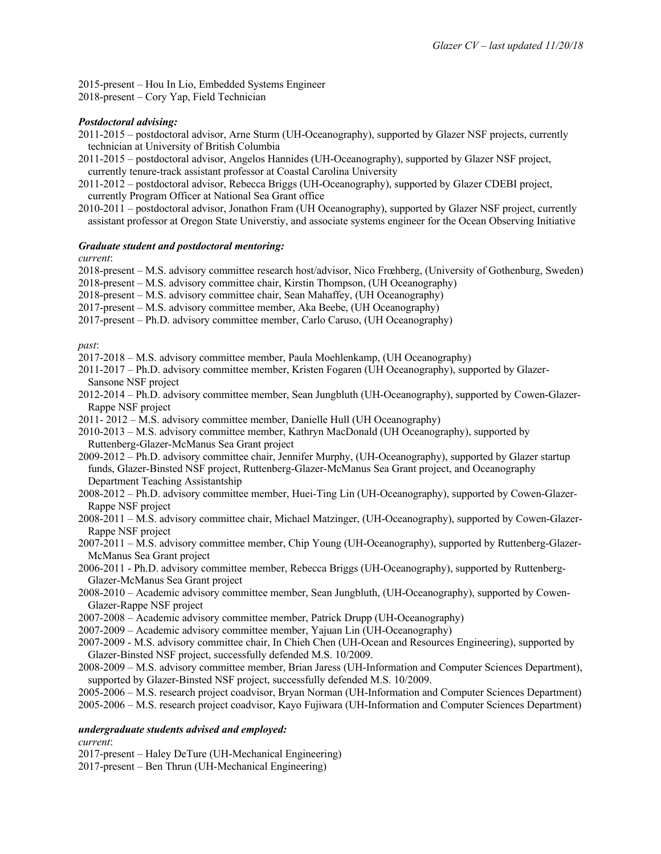2015-present – Hou In Lio, Embedded Systems Engineer

2018-present – Cory Yap, Field Technician

## *Postdoctoral advising:*

- 2011-2015 postdoctoral advisor, Arne Sturm (UH-Oceanography), supported by Glazer NSF projects, currently technician at University of British Columbia
- 2011-2015 postdoctoral advisor, Angelos Hannides (UH-Oceanography), supported by Glazer NSF project, currently tenure-track assistant professor at Coastal Carolina University
- 2011-2012 postdoctoral advisor, Rebecca Briggs (UH-Oceanography), supported by Glazer CDEBI project, currently Program Officer at National Sea Grant office
- 2010-2011 postdoctoral advisor, Jonathon Fram (UH Oceanography), supported by Glazer NSF project, currently assistant professor at Oregon State Universtiy, and associate systems engineer for the Ocean Observing Initiative

## *Graduate student and postdoctoral mentoring:*

*current*:

2018-present – M.S. advisory committee research host/advisor, Nico Frœhberg, (University of Gothenburg, Sweden)

2018-present – M.S. advisory committee chair, Kirstin Thompson, (UH Oceanography)

2018-present – M.S. advisory committee chair, Sean Mahaffey, (UH Oceanography)

- 2017-present M.S. advisory committee member, Aka Beebe, (UH Oceanography)
- 2017-present Ph.D. advisory committee member, Carlo Caruso, (UH Oceanography)

*past*:

- 2017-2018 M.S. advisory committee member, Paula Moehlenkamp, (UH Oceanography)
- 2011-2017 Ph.D. advisory committee member, Kristen Fogaren (UH Oceanography), supported by Glazer-Sansone NSF project
- 2012-2014 Ph.D. advisory committee member, Sean Jungbluth (UH-Oceanography), supported by Cowen-Glazer-Rappe NSF project
- 2011- 2012 M.S. advisory committee member, Danielle Hull (UH Oceanography)
- 2010-2013 M.S. advisory committee member, Kathryn MacDonald (UH Oceanography), supported by Ruttenberg-Glazer-McManus Sea Grant project
- 2009-2012 Ph.D. advisory committee chair, Jennifer Murphy, (UH-Oceanography), supported by Glazer startup funds, Glazer-Binsted NSF project, Ruttenberg-Glazer-McManus Sea Grant project, and Oceanography Department Teaching Assistantship
- 2008-2012 Ph.D. advisory committee member, Huei-Ting Lin (UH-Oceanography), supported by Cowen-Glazer-Rappe NSF project
- 2008-2011 M.S. advisory committee chair, Michael Matzinger, (UH-Oceanography), supported by Cowen-Glazer-Rappe NSF project
- 2007-2011 M.S. advisory committee member, Chip Young (UH-Oceanography), supported by Ruttenberg-Glazer-McManus Sea Grant project
- 2006-2011 Ph.D. advisory committee member, Rebecca Briggs (UH-Oceanography), supported by Ruttenberg-Glazer-McManus Sea Grant project
- 2008-2010 Academic advisory committee member, Sean Jungbluth, (UH-Oceanography), supported by Cowen-Glazer-Rappe NSF project
- 2007-2008 Academic advisory committee member, Patrick Drupp (UH-Oceanography)
- 2007-2009 Academic advisory committee member, Yajuan Lin (UH-Oceanography)
- 2007-2009 M.S. advisory committee chair, In Chieh Chen (UH-Ocean and Resources Engineering), supported by Glazer-Binsted NSF project, successfully defended M.S. 10/2009.
- 2008-2009 M.S. advisory committee member, Brian Jaress (UH-Information and Computer Sciences Department), supported by Glazer-Binsted NSF project, successfully defended M.S. 10/2009.

2005-2006 – M.S. research project coadvisor, Bryan Norman (UH-Information and Computer Sciences Department)

2005-2006 – M.S. research project coadvisor, Kayo Fujiwara (UH-Information and Computer Sciences Department)

## *undergraduate students advised and employed:*

*current*:

- 2017-present Haley DeTure (UH-Mechanical Engineering)
- 2017-present Ben Thrun (UH-Mechanical Engineering)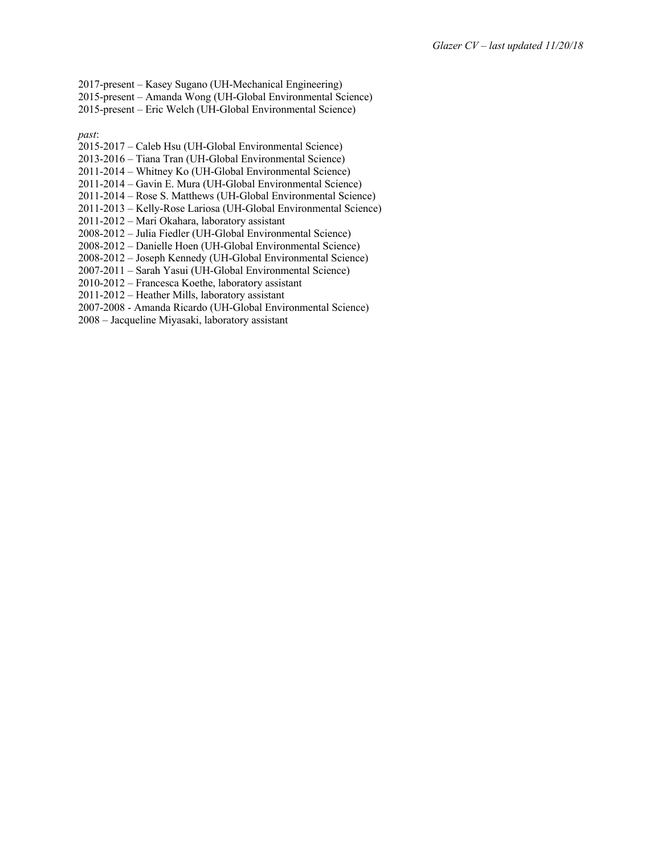- 2017-present Kasey Sugano (UH-Mechanical Engineering)
- 2015-present Amanda Wong (UH-Global Environmental Science)
- 2015-present Eric Welch (UH-Global Environmental Science)

*past*:

- 2015-2017 Caleb Hsu (UH-Global Environmental Science)
- 2013-2016 Tiana Tran (UH-Global Environmental Science)
- 2011-2014 Whitney Ko (UH-Global Environmental Science)
- 2011-2014 Gavin E. Mura (UH-Global Environmental Science)
- 2011-2014 Rose S. Matthews (UH-Global Environmental Science)
- 2011-2013 Kelly-Rose Lariosa (UH-Global Environmental Science)
- 2011-2012 Mari Okahara, laboratory assistant
- 2008-2012 Julia Fiedler (UH-Global Environmental Science)
- 2008-2012 Danielle Hoen (UH-Global Environmental Science)
- 2008-2012 Joseph Kennedy (UH-Global Environmental Science)
- 2007-2011 Sarah Yasui (UH-Global Environmental Science)
- 2010-2012 Francesca Koethe, laboratory assistant
- 2011-2012 Heather Mills, laboratory assistant
- 2007-2008 Amanda Ricardo (UH-Global Environmental Science)
- 2008 Jacqueline Miyasaki, laboratory assistant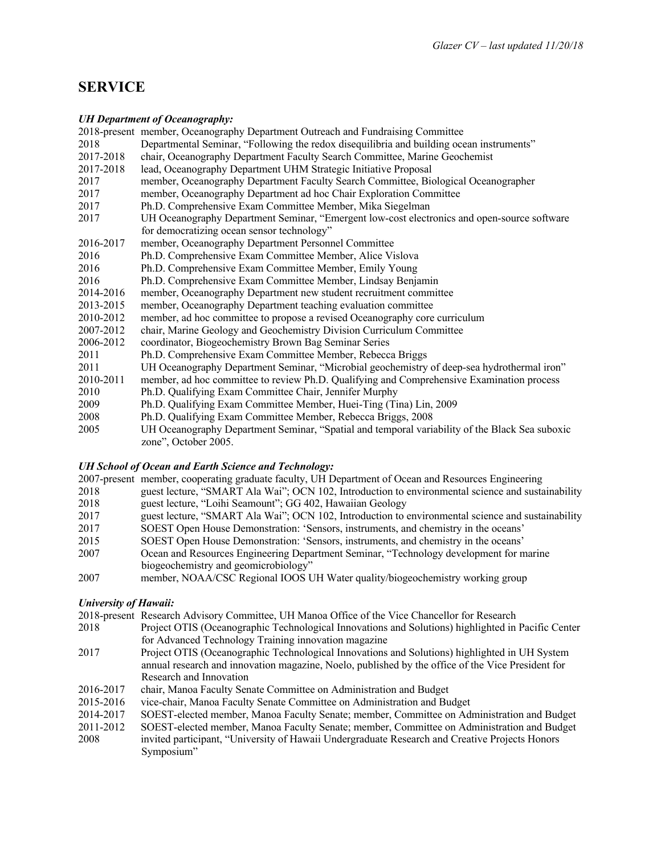# **SERVICE**

## *UH Department of Oceanography:*

| 011 Depuriment of Occurrogruphy. |                                                                                                                        |  |  |
|----------------------------------|------------------------------------------------------------------------------------------------------------------------|--|--|
|                                  | 2018-present member, Oceanography Department Outreach and Fundraising Committee                                        |  |  |
| 2018                             | Departmental Seminar, "Following the redox disequilibria and building ocean instruments"                               |  |  |
| 2017-2018                        | chair, Oceanography Department Faculty Search Committee, Marine Geochemist                                             |  |  |
| 2017-2018                        | lead, Oceanography Department UHM Strategic Initiative Proposal                                                        |  |  |
| 2017                             | member, Oceanography Department Faculty Search Committee, Biological Oceanographer                                     |  |  |
| 2017                             | member, Oceanography Department ad hoc Chair Exploration Committee                                                     |  |  |
| 2017                             | Ph.D. Comprehensive Exam Committee Member, Mika Siegelman                                                              |  |  |
| 2017                             | UH Oceanography Department Seminar, "Emergent low-cost electronics and open-source software                            |  |  |
|                                  | for democratizing ocean sensor technology"                                                                             |  |  |
| 2016-2017                        | member, Oceanography Department Personnel Committee                                                                    |  |  |
| 2016                             | Ph.D. Comprehensive Exam Committee Member, Alice Vislova                                                               |  |  |
| 2016                             | Ph.D. Comprehensive Exam Committee Member, Emily Young                                                                 |  |  |
| 2016                             | Ph.D. Comprehensive Exam Committee Member, Lindsay Benjamin                                                            |  |  |
| 2014-2016                        | member, Oceanography Department new student recruitment committee                                                      |  |  |
| 2013-2015                        | member, Oceanography Department teaching evaluation committee                                                          |  |  |
| 2010-2012                        | member, ad hoc committee to propose a revised Oceanography core curriculum                                             |  |  |
| 2007-2012                        | chair, Marine Geology and Geochemistry Division Curriculum Committee                                                   |  |  |
| 2006-2012                        | coordinator, Biogeochemistry Brown Bag Seminar Series                                                                  |  |  |
| 2011                             | Ph.D. Comprehensive Exam Committee Member, Rebecca Briggs                                                              |  |  |
| 2011                             | UH Oceanography Department Seminar, "Microbial geochemistry of deep-sea hydrothermal iron"                             |  |  |
| 2010-2011                        | member, ad hoc committee to review Ph.D. Qualifying and Comprehensive Examination process                              |  |  |
| 2010                             | Ph.D. Qualifying Exam Committee Chair, Jennifer Murphy                                                                 |  |  |
| 2009                             | Ph.D. Qualifying Exam Committee Member, Huei-Ting (Tina) Lin, 2009                                                     |  |  |
| 2008                             | Ph.D. Qualifying Exam Committee Member, Rebecca Briggs, 2008                                                           |  |  |
| 2005                             | UH Oceanography Department Seminar, "Spatial and temporal variability of the Black Sea suboxic<br>zone", October 2005. |  |  |

## *UH School of Ocean and Earth Science and Technology:*

|      | 2007-present member, cooperating graduate faculty, UH Department of Ocean and Resources Engineering |
|------|-----------------------------------------------------------------------------------------------------|
| 2018 | guest lecture, "SMART Ala Wai"; OCN 102, Introduction to environmental science and sustainability   |
| 2018 | guest lecture, "Loihi Seamount"; GG 402, Hawaiian Geology                                           |
| 2017 | guest lecture, "SMART Ala Wai"; OCN 102, Introduction to environmental science and sustainability   |
| 2017 | SOEST Open House Demonstration: 'Sensors, instruments, and chemistry in the oceans'                 |
| 2015 | SOEST Open House Demonstration: 'Sensors, instruments, and chemistry in the oceans'                 |
| 2007 | Ocean and Resources Engineering Department Seminar, "Technology development for marine              |
|      | biogeochemistry and geomicrobiology"                                                                |
| 2007 | member, NOAA/CSC Regional IOOS UH Water quality/biogeochemistry working group                       |
|      |                                                                                                     |

## *University of Hawaii:*

- 2018-present Research Advisory Committee, UH Manoa Office of the Vice Chancellor for Research
- 2018 Project OTIS (Oceanographic Technological Innovations and Solutions) highlighted in Pacific Center for Advanced Technology Training innovation magazine
- 2017 Project OTIS (Oceanographic Technological Innovations and Solutions) highlighted in UH System annual research and innovation magazine, Noelo, published by the office of the Vice President for Research and Innovation
- 2016-2017 chair, Manoa Faculty Senate Committee on Administration and Budget
- 2015-2016 vice-chair, Manoa Faculty Senate Committee on Administration and Budget
- 2014-2017 SOEST-elected member, Manoa Faculty Senate; member, Committee on Administration and Budget
- 2011-2012 SOEST-elected member, Manoa Faculty Senate; member, Committee on Administration and Budget 2008 invited participant, "University of Hawaii Undergraduate Research and Creative Projects Honors Symposium"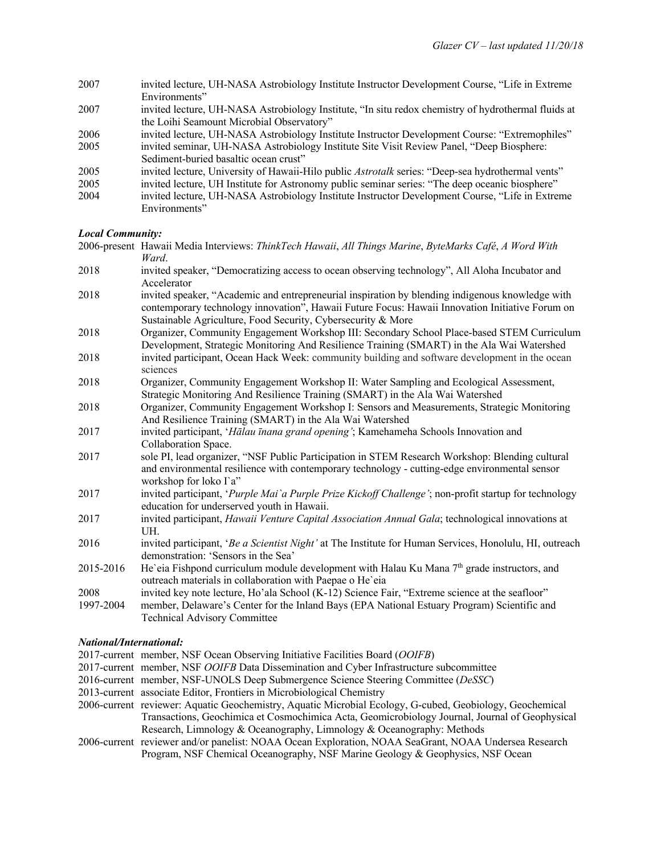| 2007 | invited lecture, UH-NASA Astrobiology Institute Instructor Development Course, "Life in Extreme"    |
|------|-----------------------------------------------------------------------------------------------------|
|      | Environments"                                                                                       |
| 2007 | invited lecture, UH-NASA Astrobiology Institute, "In situ redox chemistry of hydrothermal fluids at |
|      | the Loihi Seamount Microbial Observatory"                                                           |
| 2006 | invited lecture, UH-NASA Astrobiology Institute Instructor Development Course: "Extremophiles"      |
| 2005 | invited seminar, UH-NASA Astrobiology Institute Site Visit Review Panel, "Deep Biosphere:           |
|      | Sediment-buried basaltic ocean crust"                                                               |
| 2005 | invited lecture, University of Hawaii-Hilo public Astrotalk series: "Deep-sea hydrothermal vents"   |
| 2005 | invited lecture, UH Institute for Astronomy public seminar series: "The deep oceanic biosphere"     |
| 2004 | invited lecture, UH-NASA Astrobiology Institute Instructor Development Course, "Life in Extreme     |
|      | Environments"                                                                                       |

#### *Local Community:*

2006-present Hawaii Media Interviews: *ThinkTech Hawaii*, *All Things Marine*, *ByteMarks Café*, *A Word With Ward*.

- 2018 invited speaker, "Democratizing access to ocean observing technology", All Aloha Incubator and Accelerator
- 2018 invited speaker, "Academic and entrepreneurial inspiration by blending indigenous knowledge with contemporary technology innovation", Hawaii Future Focus: Hawaii Innovation Initiative Forum on Sustainable Agriculture, Food Security, Cybersecurity & More
- 2018 Organizer, Community Engagement Workshop III: Secondary School Place-based STEM Curriculum Development, Strategic Monitoring And Resilience Training (SMART) in the Ala Wai Watershed
- 2018 invited participant, Ocean Hack Week: community building and software development in the ocean sciences
- 2018 Organizer, Community Engagement Workshop II: Water Sampling and Ecological Assessment, Strategic Monitoring And Resilience Training (SMART) in the Ala Wai Watershed
- 2018 Organizer, Community Engagement Workshop I: Sensors and Measurements, Strategic Monitoring And Resilience Training (SMART) in the Ala Wai Watershed
- 2017 invited participant, '*Hālau īnana grand opening'*; Kamehameha Schools Innovation and Collaboration Space.
- 2017 sole PI, lead organizer, "NSF Public Participation in STEM Research Workshop: Blending cultural and environmental resilience with contemporary technology - cutting-edge environmental sensor workshop for loko I`a"
- 2017 invited participant, '*Purple Mai`a Purple Prize Kickoff Challenge'*; non-profit startup for technology education for underserved youth in Hawaii.
- 2017 invited participant, *Hawaii Venture Capital Association Annual Gala*; technological innovations at UH.
- 2016 invited participant, '*Be a Scientist Night'* at The Institute for Human Services, Honolulu, HI, outreach demonstration: 'Sensors in the Sea'
- 2015-2016 He`eia Fishpond curriculum module development with Halau Ku Mana  $7<sup>th</sup>$  grade instructors, and outreach materials in collaboration with Paepae o He`eia
- 2008 invited key note lecture, Ho'ala School (K-12) Science Fair, "Extreme science at the seafloor"
- 1997-2004 member, Delaware's Center for the Inland Bays (EPA National Estuary Program) Scientific and Technical Advisory Committee

#### *National/International:*

- 2017-current member, NSF Ocean Observing Initiative Facilities Board (*OOIFB*)
- 2017-current member, NSF *OOIFB* Data Dissemination and Cyber Infrastructure subcommittee
- 2016-current member, NSF-UNOLS Deep Submergence Science Steering Committee (*DeSSC*)
- 2013-current associate Editor, Frontiers in Microbiological Chemistry
- 2006-current reviewer: Aquatic Geochemistry, Aquatic Microbial Ecology, G-cubed, Geobiology, Geochemical Transactions, Geochimica et Cosmochimica Acta, Geomicrobiology Journal, Journal of Geophysical Research, Limnology & Oceanography, Limnology & Oceanography: Methods
- 2006-current reviewer and/or panelist: NOAA Ocean Exploration, NOAA SeaGrant, NOAA Undersea Research Program, NSF Chemical Oceanography, NSF Marine Geology & Geophysics, NSF Ocean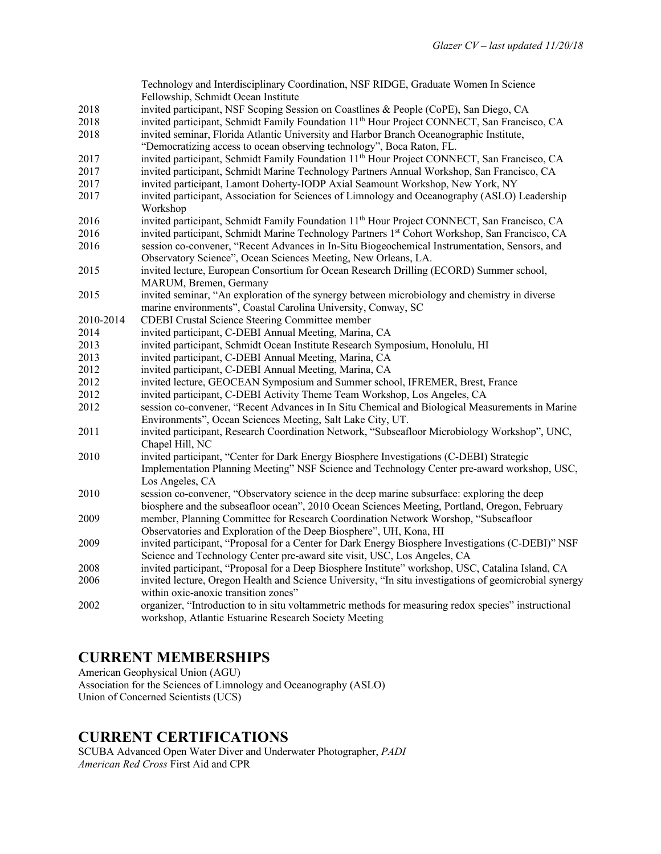|           | Technology and Interdisciplinary Coordination, NSF RIDGE, Graduate Women In Science                     |
|-----------|---------------------------------------------------------------------------------------------------------|
|           | Fellowship, Schmidt Ocean Institute                                                                     |
| 2018      | invited participant, NSF Scoping Session on Coastlines & People (CoPE), San Diego, CA                   |
| 2018      | invited participant, Schmidt Family Foundation 11 <sup>th</sup> Hour Project CONNECT, San Francisco, CA |
| 2018      | invited seminar, Florida Atlantic University and Harbor Branch Oceanographic Institute,                 |
|           | "Democratizing access to ocean observing technology", Boca Raton, FL.                                   |
| 2017      | invited participant, Schmidt Family Foundation 11 <sup>th</sup> Hour Project CONNECT, San Francisco, CA |
| 2017      | invited participant, Schmidt Marine Technology Partners Annual Workshop, San Francisco, CA              |
| 2017      | invited participant, Lamont Doherty-IODP Axial Seamount Workshop, New York, NY                          |
| 2017      | invited participant, Association for Sciences of Limnology and Oceanography (ASLO) Leadership           |
|           | Workshop                                                                                                |
| 2016      | invited participant, Schmidt Family Foundation 11 <sup>th</sup> Hour Project CONNECT, San Francisco, CA |
| 2016      | invited participant, Schmidt Marine Technology Partners 1st Cohort Workshop, San Francisco, CA          |
| 2016      | session co-convener, "Recent Advances in In-Situ Biogeochemical Instrumentation, Sensors, and           |
|           | Observatory Science", Ocean Sciences Meeting, New Orleans, LA.                                          |
| 2015      | invited lecture, European Consortium for Ocean Research Drilling (ECORD) Summer school,                 |
|           | MARUM, Bremen, Germany                                                                                  |
| 2015      | invited seminar, "An exploration of the synergy between microbiology and chemistry in diverse           |
|           | marine environments", Coastal Carolina University, Conway, SC                                           |
| 2010-2014 | <b>CDEBI Crustal Science Steering Committee member</b>                                                  |
| 2014      | invited participant, C-DEBI Annual Meeting, Marina, CA                                                  |
| 2013      | invited participant, Schmidt Ocean Institute Research Symposium, Honolulu, HI                           |
| 2013      | invited participant, C-DEBI Annual Meeting, Marina, CA                                                  |
| 2012      | invited participant, C-DEBI Annual Meeting, Marina, CA                                                  |
| 2012      | invited lecture, GEOCEAN Symposium and Summer school, IFREMER, Brest, France                            |
| 2012      | invited participant, C-DEBI Activity Theme Team Workshop, Los Angeles, CA                               |
| 2012      | session co-convener, "Recent Advances in In Situ Chemical and Biological Measurements in Marine         |
|           | Environments", Ocean Sciences Meeting, Salt Lake City, UT.                                              |
| 2011      | invited participant, Research Coordination Network, "Subseafloor Microbiology Workshop", UNC,           |
|           | Chapel Hill, NC                                                                                         |
| 2010      | invited participant, "Center for Dark Energy Biosphere Investigations (C-DEBI) Strategic                |
|           | Implementation Planning Meeting" NSF Science and Technology Center pre-award workshop, USC,             |
|           | Los Angeles, CA                                                                                         |
| 2010      | session co-convener, "Observatory science in the deep marine subsurface: exploring the deep             |
|           | biosphere and the subseafloor ocean", 2010 Ocean Sciences Meeting, Portland, Oregon, February           |
| 2009      | member, Planning Committee for Research Coordination Network Worshop, "Subseafloor                      |
|           | Observatories and Exploration of the Deep Biosphere", UH, Kona, HI                                      |
| 2009      | invited participant, "Proposal for a Center for Dark Energy Biosphere Investigations (C-DEBI)" NSF      |
|           | Science and Technology Center pre-award site visit, USC, Los Angeles, CA                                |
| 2008      | invited participant, "Proposal for a Deep Biosphere Institute" workshop, USC, Catalina Island, CA       |
| 2006      | invited lecture, Oregon Health and Science University, "In situ investigations of geomicrobial synergy  |
|           | within oxic-anoxic transition zones"                                                                    |
| 2002      | organizer, "Introduction to in situ voltammetric methods for measuring redox species" instructional     |
|           | workshop, Atlantic Estuarine Research Society Meeting                                                   |

# **CURRENT MEMBERSHIPS**

American Geophysical Union (AGU) Association for the Sciences of Limnology and Oceanography (ASLO) Union of Concerned Scientists (UCS)

# **CURRENT CERTIFICATIONS**

SCUBA Advanced Open Water Diver and Underwater Photographer, *PADI American Red Cross* First Aid and CPR